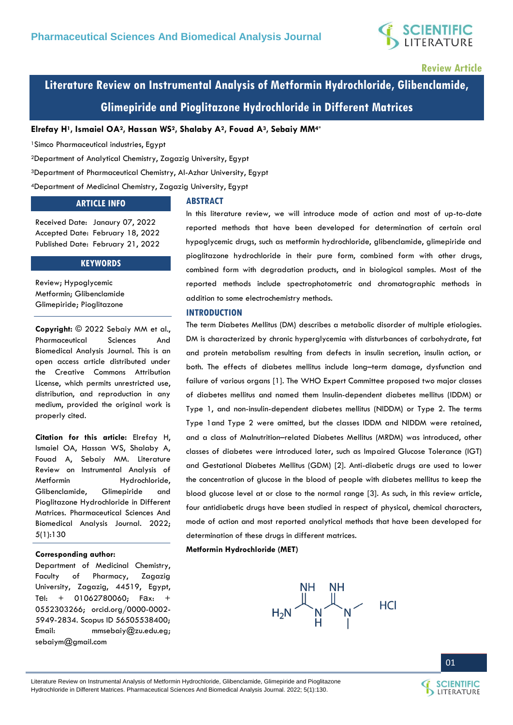

**Review Article**

# **Literature Review on Instrumental Analysis of Metformin Hydrochloride, Glibenclamide, Glimepiride and Pioglitazone Hydrochloride in Different Matrices**

**Elrefay H1, Ismaiel OA2, Hassan WS2, Shalaby A2, Fouad A3, Sebaiy MM4\***

<sup>1</sup>Simco Pharmaceutical industries, Egypt

<sup>2</sup>Department of Analytical Chemistry, Zagazig University, Egypt

<sup>3</sup>Department of Pharmaceutical Chemistry, Al-Azhar University, Egypt

<sup>4</sup>Department of Medicinal Chemistry, Zagazig University, Egypt

### **ARTICLE INFO**

### **ABSTRACT**

Received Date: Janaury 07, 2022 Accepted Date: February 18, 2022 Published Date: February 21, 2022

### **KEYWORDS**

Review; Hypoglycemic Metformin; Glibenclamide Glimepiride; Pioglitazone

**Copyright:** © 2022 Sebaiy MM et al., Pharmaceutical Sciences And Biomedical Analysis Journal. This is an open access article distributed under the Creative Commons Attribution License, which permits unrestricted use, distribution, and reproduction in any medium, provided the original work is properly cited.

**Citation for this article:** Elrefay H, Ismaiel OA, Hassan WS, Shalaby A, Fouad A, Sebaiy MM. Literature Review on Instrumental Analysis of Metformin Hydrochloride. Glibenclamide, Glimepiride and Pioglitazone Hydrochloride in Different Matrices. Pharmaceutical Sciences And Biomedical Analysis Journal. 2022; 5(1):130

### **Corresponding author:**

Department of Medicinal Chemistry, Faculty of Pharmacy, Zagazig University, Zagazig, 44519, Egypt, Tel: + 01062780060; Fax: + 0552303266; orcid.org/0000-0002- 5949-2834. Scopus ID 56505538400; Email: [mmsebaiy@zu.edu.eg;](mailto:mmsebaiy@zu.edu.eg) [sebaiym@gmail.com](mailto:sebaiym@gmail.com)

In this literature review, we will introduce mode of action and most of up-to-date reported methods that have been developed for determination of certain oral hypoglycemic drugs, such as metformin hydrochloride, glibenclamide, glimepiride and pioglitazone hydrochloride in their pure form, combined form with other drugs, combined form with degradation products, and in biological samples. Most of the reported methods include spectrophotometric and chromatographic methods in addition to some electrochemistry methods.

### **INTRODUCTION**

The term Diabetes Mellitus (DM) describes a metabolic disorder of multiple etiologies. DM is characterized by chronic hyperglycemia with disturbances of carbohydrate, fat and protein metabolism resulting from defects in insulin secretion, insulin action, or both. The effects of diabetes mellitus include long–term damage, dysfunction and failure of various organs [1]. The WHO Expert Committee proposed two major classes of diabetes mellitus and named them Insulin-dependent diabetes mellitus (IDDM) or Type 1, and non-insulin-dependent diabetes mellitus (NIDDM) or Type 2. The terms Type 1and Type 2 were omitted, but the classes IDDM and NIDDM were retained, and a class of Malnutrition–related Diabetes Mellitus (MRDM) was introduced, other classes of diabetes were introduced later, such as Impaired Glucose Tolerance (IGT) and Gestational Diabetes Mellitus (GDM) [2]. Anti-diabetic drugs are used to lower the concentration of glucose in the blood of people with diabetes mellitus to keep the blood glucose level at or close to the normal range [3]. As such, in this review article, four antidiabetic drugs have been studied in respect of physical, chemical characters, mode of action and most reported analytical methods that have been developed for determination of these drugs in different matrices.

**Metformin Hydrochloride (MET)**



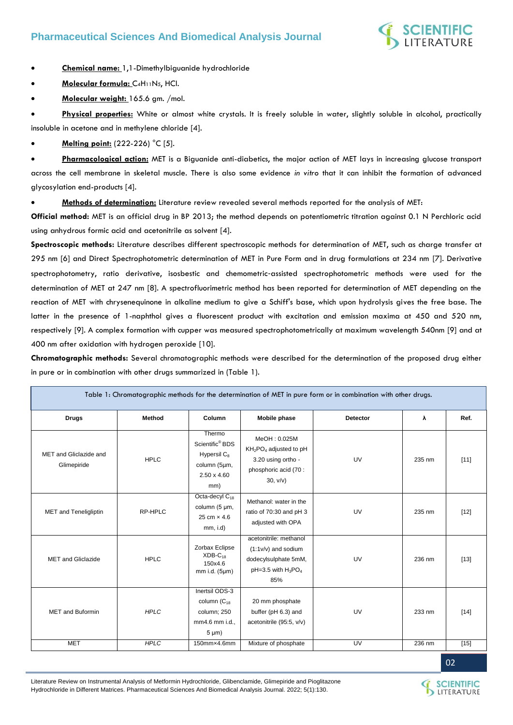

**Chemical name:** 1,1-Dimethylbiguanide hydrochloride

**Molecular formula:** C4H11N5, HCl.

**Molecular weight:** 165.6 gm. /mol.

 **Physical properties:** White or almost white crystals. It is freely soluble in water, slightly soluble in alcohol, practically insoluble in acetone and in methylene chloride [4].

**Melting point:** (222-226) °C [5].

Pharmacological action: MET is a Biguanide anti-diabetics, the major action of MET lays in increasing glucose transport across the cell membrane in skeletal muscle. There is also some evidence *in vitro* that it can inhibit the formation of advanced glycosylation end-products [4].

**Methods of determination:** Literature review revealed several methods reported for the analysis of MET:

**Official method:** MET is an official drug in BP 2013; the method depends on potentiometric titration against 0.1 N Perchloric acid using anhydrous formic acid and acetonitrile as solvent [4].

**Spectroscopic methods:** Literature describes different spectroscopic methods for determination of MET, such as charge transfer at 295 nm [6] and Direct Spectrophotometric determination of MET in Pure Form and in drug formulations at 234 nm [7]. Derivative spectrophotometry, ratio derivative, isosbestic and chemometric‐assisted spectrophotometric methods were used for the determination of MET at 247 nm [8]. A spectrofluorimetric method has been reported for determination of MET depending on the reaction of MET with chrysenequinone in alkaline medium to give a Schiff's base, which upon hydrolysis gives the free base. The latter in the presence of 1-naphthol gives a fluorescent product with excitation and emission maxima at 450 and 520 nm, respectively [9]. A complex formation with cupper was measured spectrophotometrically at maximum wavelength 540nm [9] and at 400 nm after oxidation with hydrogen peroxide [10].

**Chromatographic methods:** Several chromatographic methods were described for the determination of the proposed drug either in pure or in combination with other drugs summarized in (Table 1).

| Table 1: Chromatographic methods for the determination of MET in pure form or in combination with other drugs. |             |                                                                                                               |                                                                                                           |                 |        |        |  |
|----------------------------------------------------------------------------------------------------------------|-------------|---------------------------------------------------------------------------------------------------------------|-----------------------------------------------------------------------------------------------------------|-----------------|--------|--------|--|
| <b>Drugs</b>                                                                                                   | Method      | Column                                                                                                        | Mobile phase                                                                                              | <b>Detector</b> | λ      | Ref.   |  |
| MET and Gliclazide and<br>Glimepiride                                                                          | <b>HPLC</b> | Thermo<br>Scientific <sup>®</sup> BDS<br>Hypersil C <sub>8</sub><br>column (5µm,<br>$2.50 \times 4.60$<br>mm) | MeOH: 0.025M<br>$KH2PO4$ adjusted to pH<br>3.20 using ortho -<br>phosphoric acid (70 :<br>30, v/v)        | UV              | 235 nm | $[11]$ |  |
| <b>MET</b> and Teneligliptin                                                                                   | RP-HPLC     | Octa-decyl C <sub>18</sub><br>column (5 µm,<br>25 cm $\times$ 4.6<br>$mm, i.d$ )                              | Methanol: water in the<br>ratio of 70:30 and pH 3<br>adjusted with OPA                                    | UV              | 235 nm | $[12]$ |  |
| <b>MET</b> and Gliclazide                                                                                      | <b>HPLC</b> | Zorbax Eclipse<br>$XDB-C18$<br>150x4.6<br>$mm$ i.d. ( $5 \mu m$ )                                             | acetonitrile: methanol<br>$(1:1v/v)$ and sodium<br>dodecylsulphate 5mM,<br>$pH=3.5$ with $H_3PO_4$<br>85% | UV              | 236 nm | $[13]$ |  |
| <b>MET and Buformin</b>                                                                                        | <b>HPLC</b> | Inertsil ODS-3<br>column $(C_{18}$<br>column; 250<br>mm4.6 mm i.d.,<br>$5 \mu m$ )                            | 20 mm phosphate<br>buffer (pH 6.3) and<br>acetonitrile (95:5, v/v)                                        | UV              | 233 nm | $[14]$ |  |
| <b>MET</b>                                                                                                     | <b>HPLC</b> | 150mm×4.6mm                                                                                                   | Mixture of phosphate                                                                                      | UV              | 236 nm | $[15]$ |  |



Literature Review on Instrumental Analysis of Metformin Hydrochloride, Glibenclamide, Glimepiride and Pioglitazone Hydrochloride in Different Matrices. Pharmaceutical Sciences And Biomedical Analysis Journal. 2022; 5(1):130.

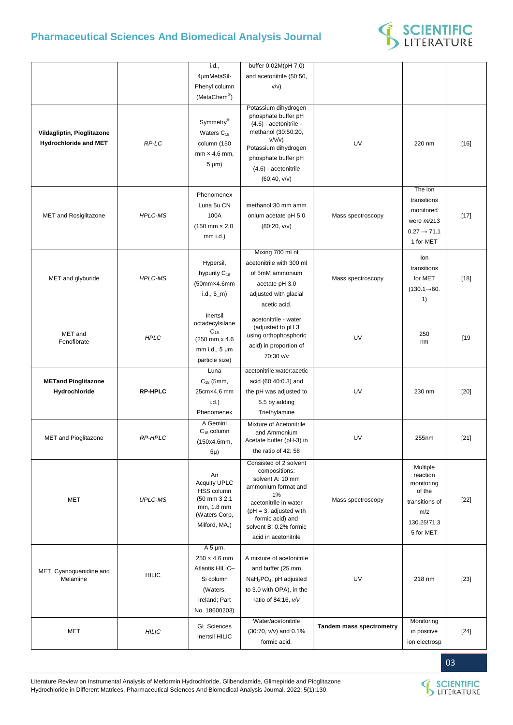

|                                                            |                | i.d.,                                                                                                    | buffer 0.02M(pH 7.0)                                                                                                                                                                                                |                                 |                                                                                                   |        |
|------------------------------------------------------------|----------------|----------------------------------------------------------------------------------------------------------|---------------------------------------------------------------------------------------------------------------------------------------------------------------------------------------------------------------------|---------------------------------|---------------------------------------------------------------------------------------------------|--------|
|                                                            |                | 4µmMetaSil-                                                                                              | and acetonitrile (50:50,                                                                                                                                                                                            |                                 |                                                                                                   |        |
|                                                            |                | Phenyl column                                                                                            | v/v)                                                                                                                                                                                                                |                                 |                                                                                                   |        |
|                                                            |                | (MetaChem <sup>®</sup> )                                                                                 |                                                                                                                                                                                                                     |                                 |                                                                                                   |        |
| Vildagliptin, Pioglitazone<br><b>Hydrochloride and MET</b> | RP-LC          | Symmetry®<br>Waters $C_{18}$<br>column (150<br>$mm \times 4.6 mm$ .<br>$5 \mu m$ )                       | Potassium dihydrogen<br>phosphate buffer pH<br>(4.6) - acetonitrile -<br>methanol (30:50:20,<br>v/v/v)<br>Potassium dihydrogen<br>phosphate buffer pH<br>(4.6) - acetonitrile<br>(60:40, v/v)                       | UV                              | 220 nm                                                                                            | $[16]$ |
|                                                            |                | Phenomenex                                                                                               |                                                                                                                                                                                                                     |                                 | The ion                                                                                           |        |
| MET and Rosiglitazone                                      | <b>HPLC-MS</b> | Luna 5u CN<br>100A<br>$(150 \, \text{mm} \times 2.0)$<br>$mm$ i.d.)                                      | methanol:30 mm amm<br>onium acetate pH 5.0<br>(80:20, v/v)                                                                                                                                                          | Mass spectroscopy               | transitions<br>monitored<br>were $m/z$ 13<br>$0.27 \rightarrow 71.1$<br>1 for MET                 | $[17]$ |
| MET and glyburide                                          | <b>HPLC-MS</b> | Hypersil,<br>hypurity $C_{18}$<br>(50mm×4.6mm<br>$i.d., 5_m$                                             | Mixing 700 ml of<br>acetonitrile with 300 ml<br>of 5mM ammonium<br>acetate pH 3.0<br>adjusted with glacial<br>acetic acid.                                                                                          | Mass spectroscopy               | lon<br>transitions<br>for MET<br>$(130.1 \rightarrow 60.$<br>1)                                   | $[18]$ |
| MET and<br>Fenofibrate                                     | <b>HPLC</b>    | Inertsil<br>octadecylsilane<br>$C_{18}$<br>(250 mm x 4.6)<br>mm i.d., 5 µm<br>particle size)             | acetonitrile - water<br>(adjusted to pH 3<br>using orthophosphoric<br>acid) in proportion of<br>70:30 v/v                                                                                                           | UV                              | 250<br>nm                                                                                         | [19]   |
|                                                            |                | Luna                                                                                                     | acetonitrile:water:acetic                                                                                                                                                                                           |                                 |                                                                                                   |        |
| <b>METand Pioglitazone</b>                                 |                | $C_{18}$ (5mm,                                                                                           | acid (60:40:0.3) and                                                                                                                                                                                                |                                 |                                                                                                   |        |
| Hydrochloride                                              | <b>RP-HPLC</b> | 25cm×4.6 mm                                                                                              | the pH was adjusted to                                                                                                                                                                                              | UV                              | 230 nm                                                                                            | $[20]$ |
|                                                            |                | i.d.)                                                                                                    | 5.5 by adding                                                                                                                                                                                                       |                                 |                                                                                                   |        |
|                                                            |                | Phenomenex                                                                                               | Triethylamine                                                                                                                                                                                                       |                                 |                                                                                                   |        |
| MET and Pioglitazone                                       | <b>RP-HPLC</b> | A Gemini<br>$C_{18}$ column<br>(150x4.6mm,<br>$5\mu$ )                                                   | Mixture of Acetonitrile<br>and Ammonium<br>Acetate buffer (pH-3) in<br>the ratio of 42: 58                                                                                                                          | UV                              | 255nm                                                                                             | $[21]$ |
| <b>MET</b>                                                 | <b>UPLC-MS</b> | An<br><b>Acquity UPLC</b><br>HSS column<br>(50 mm 3 2.1)<br>mm, 1.8 mm<br>(Waters Corp,<br>Milford, MA,) | Consisted of 2 solvent<br>compositions:<br>solvent A: 10 mm<br>ammonium format and<br>1%<br>acetonitrile in water<br>$pH = 3$ , adjusted with<br>formic acid) and<br>solvent B: 0.2% formic<br>acid in acetonitrile | Mass spectroscopy               | Multiple<br>reaction<br>monitoring<br>of the<br>transitions of<br>m/z<br>130.25!71.3<br>5 for MET | $[22]$ |
|                                                            |                | $A 5 \mu m$ ,                                                                                            |                                                                                                                                                                                                                     |                                 |                                                                                                   |        |
| MET, Cyanoguanidine and<br>Melamine                        | <b>HILIC</b>   | $250 \times 4.6$ mm<br>Atlantis HILIC-<br>Si column<br>(Waters,<br>Ireland; Part<br>No. 18600203)        | A mixture of acetonitrile<br>and buffer (25 mm<br>NaH <sub>2</sub> PO <sub>4</sub> , pH adjusted<br>to 3.0 with OPA), in the<br>ratio of 84:16, v/v                                                                 | UV                              | 218 nm                                                                                            | $[23]$ |
|                                                            |                | <b>GL Sciences</b>                                                                                       | Water/acetonitrile                                                                                                                                                                                                  |                                 | Monitoring                                                                                        |        |
| <b>MET</b>                                                 | <b>HILIC</b>   | Inertsil HILIC                                                                                           | (30:70, v/v) and 0.1%<br>formic acid.                                                                                                                                                                               | <b>Tandem mass spectrometry</b> | in positive<br>ion electrosp                                                                      | $[24]$ |

03

Literature Review on Instrumental Analysis of Metformin Hydrochloride, Glibenclamide, Glimepiride and Pioglitazone Hydrochloride in Different Matrices. Pharmaceutical Sciences And Biomedical Analysis Journal. 2022; 5(1):130.

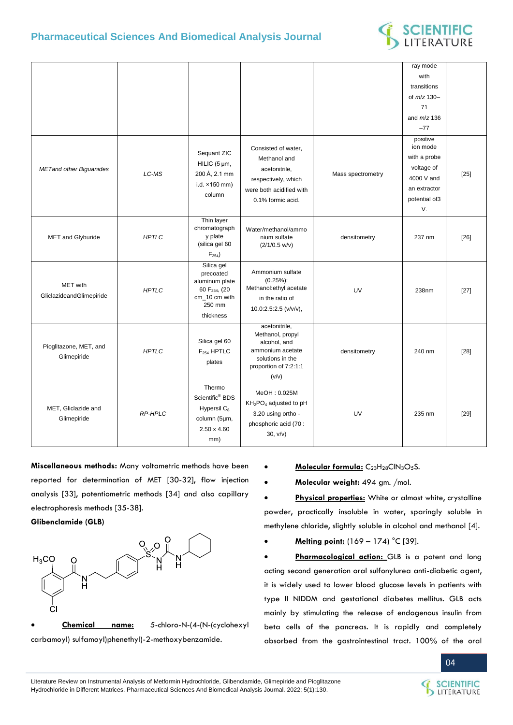

|                                             |                |                                                                                                                |                                                                                                                             |                   | ray mode             |        |
|---------------------------------------------|----------------|----------------------------------------------------------------------------------------------------------------|-----------------------------------------------------------------------------------------------------------------------------|-------------------|----------------------|--------|
|                                             |                |                                                                                                                |                                                                                                                             |                   | with                 |        |
|                                             |                |                                                                                                                |                                                                                                                             |                   | transitions          |        |
|                                             |                |                                                                                                                |                                                                                                                             |                   | of $m/z$ 130-        |        |
|                                             |                |                                                                                                                |                                                                                                                             |                   | 71                   |        |
|                                             |                |                                                                                                                |                                                                                                                             |                   | and $m/z$ 136        |        |
|                                             |                |                                                                                                                |                                                                                                                             |                   | $-77$                |        |
|                                             |                | Sequant ZIC                                                                                                    | Consisted of water,                                                                                                         |                   | positive<br>ion mode |        |
|                                             |                | HILIC (5 µm,                                                                                                   | Methanol and                                                                                                                |                   | with a probe         |        |
| <b>METand other Biguanides</b>              | LC-MS          | 200 Å, 2.1 mm                                                                                                  | acetonitrile,                                                                                                               | Mass spectrometry | voltage of           | $[25]$ |
|                                             |                | i.d. ×150 mm)                                                                                                  | respectively, which                                                                                                         |                   | 4000 V and           |        |
|                                             |                | column                                                                                                         | were both acidified with                                                                                                    |                   | an extractor         |        |
|                                             |                |                                                                                                                | 0.1% formic acid.                                                                                                           |                   | potential of3        |        |
|                                             |                |                                                                                                                |                                                                                                                             |                   | V.                   |        |
| MET and Glyburide                           | <b>HPTLC</b>   | Thin layer<br>chromatograph<br>y plate<br>(silica gel 60<br>$F_{254}$                                          | Water/methanol/ammo<br>nium sulfate<br>$(2/1/0.5 \text{ w/v})$                                                              | densitometry      | 237 nm               | $[26]$ |
| <b>MET</b> with<br>GliclazideandGlimepiride | <b>HPTLC</b>   | Silica gel<br>precoated<br>aluminum plate<br>60 F <sub>254</sub> , (20<br>cm 10 cm with<br>250 mm<br>thickness | Ammonium sulfate<br>$(0.25\%)$ :<br>Methanol:ethyl acetate<br>in the ratio of<br>10.0:2.5:2.5 (v/v/v),                      | UV                | 238nm                | $[27]$ |
| Pioglitazone, MET, and<br>Glimepiride       | <b>HPTLC</b>   | Silica gel 60<br>F <sub>254</sub> HPTLC<br>plates                                                              | acetonitrile,<br>Methanol, propyl<br>alcohol, and<br>ammonium acetate<br>solutions in the<br>proportion of 7:2:1:1<br>(v/v) | densitometry      | 240 nm               | $[28]$ |
| MET, Gliclazide and<br>Glimepiride          | <b>RP-HPLC</b> | Thermo<br>Scientific <sup>®</sup> BDS<br>Hypersil C <sub>8</sub><br>column (5µm,<br>$2.50 \times 4.60$<br>mm)  | MeOH: 0.025M<br>KH <sub>2</sub> PO <sub>4</sub> adjusted to pH<br>3.20 using ortho -<br>phosphoric acid (70 :<br>30, v/v)   | UV                | 235 nm               | $[29]$ |

**Miscellaneous methods:** Many voltametric methods have been reported for determination of MET [30-32], flow injection analysis [33], potentiometric methods [34] and also capillary electrophoresis methods [35-38].

### **Glibenclamide (GLB)**



- **Molecular formula:** C23H28ClN3O5S.
- **Molecular weight:** 494 gm. /mol.

 **Physical properties:** White or almost white, crystalline powder, practically insoluble in water, sparingly soluble in methylene chloride, slightly soluble in alcohol and methanol [4].

**Melting point:** (169 – 174) °C [39].

 **Pharmacological action:** GLB is a potent and long acting second generation oral sulfonylurea anti-diabetic agent, it is widely used to lower blood glucose levels in patients with type II NIDDM and gestational diabetes mellitus. GLB acts mainly by stimulating the release of endogenous insulin from beta cells of the pancreas. It is rapidly and completely absorbed from the gastrointestinal tract. 100% of the oral

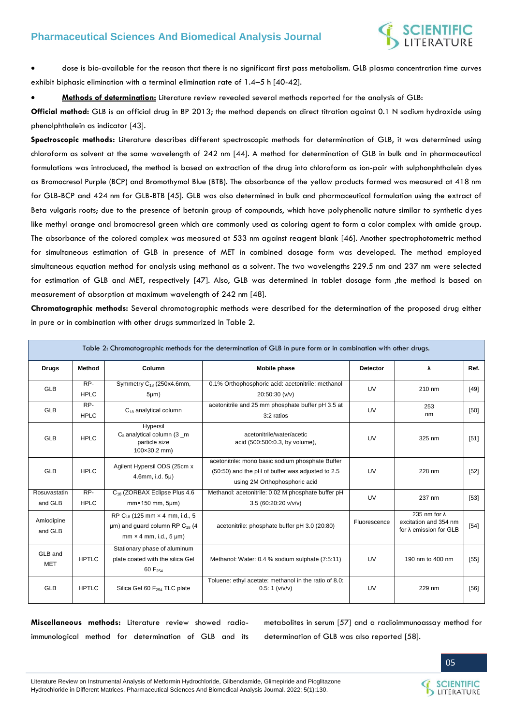

 dose is bio-available for the reason that there is no significant first pass metabolism. GLB plasma concentration time curves exhibit biphasic elimination with a terminal elimination rate of 1.4–5 h [40-42].

**Methods of determination:** Literature review revealed several methods reported for the analysis of GLB:

**Official method:** GLB is an official drug in BP 2013; the method depends on direct titration against 0.1 N sodium hydroxide using phenolphthalein as indicator [43].

**Spectroscopic methods:** Literature describes different spectroscopic methods for determination of GLB, it was determined using chloroform as solvent at the same wavelength of 242 nm [44]. A method for determination of GLB in bulk and in pharmaceutical formulations was introduced, the method is based on extraction of the drug into chloroform as ion-pair with sulphonphthalein dyes as Bromocresol Purple (BCP) and Bromothymol Blue (BTB). The absorbance of the yellow products formed was measured at 418 nm for GLB-BCP and 424 nm for GLB-BTB [45]. GLB was also determined in bulk and pharmaceutical formulation using the extract of Beta vulgaris roots; due to the presence of betanin group of compounds, which have polyphenolic nature similar to synthetic dyes like methyl orange and bromocresol green which are commonly used as coloring agent to form a color complex with amide group. The absorbance of the colored complex was measured at 533 nm against reagent blank [46]. Another spectrophotometric method for simultaneous estimation of GLB in presence of MET in combined dosage form was developed. The method employed simultaneous equation method for analysis using methanol as a solvent. The two wavelengths 229.5 nm and 237 nm were selected for estimation of GLB and MET, respectively [47]. Also, GLB was determined in tablet dosage form ,the method is based on measurement of absorption at maximum wavelength of 242 nm [48].

**Chromatographic methods:** Several chromatographic methods were described for the determination of the proposed drug either in pure or in combination with other drugs summarized in Table 2.

|                         |                    |                                                                                                                                       | Table 2: Chromatographic methods for the determination of GLB in pure form or in combination with other drugs.                        |                 |                                                                                 |        |
|-------------------------|--------------------|---------------------------------------------------------------------------------------------------------------------------------------|---------------------------------------------------------------------------------------------------------------------------------------|-----------------|---------------------------------------------------------------------------------|--------|
| <b>Drugs</b>            | Method             | Column                                                                                                                                | <b>Mobile phase</b>                                                                                                                   | <b>Detector</b> | λ                                                                               | Ref.   |
| GLB                     | RP-<br><b>HPLC</b> | Symmetry C <sub>18</sub> (250x4.6mm,<br>$5 \mu m$ )                                                                                   | 0.1% Orthophosphoric acid: acetonitrile: methanol<br>20:50:30 (v/v)                                                                   | UV              | 210 nm                                                                          | $[49]$ |
| GLB                     | RP-<br><b>HPLC</b> | $C_{18}$ analytical column                                                                                                            | acetonitrile and 25 mm phosphate buffer pH 3.5 at<br>3:2 ratios                                                                       | UV              | 253<br>nm                                                                       | [50]   |
| <b>GLB</b>              | <b>HPLC</b>        | Hypersil<br>$C_8$ analytical column (3 $\text{\_}m$<br>particle size<br>$100 \times 30.2$ mm)                                         | acetonitrile/water/acetic<br>acid (500:500:0.3, by volume),                                                                           | UV              | 325 nm                                                                          | [51]   |
| GLB                     | <b>HPLC</b>        | Agilent Hypersil ODS (25cm x<br>4.6mm, i.d. 5µ)                                                                                       | acetonitrile: mono basic sodium phosphate Buffer<br>(50:50) and the pH of buffer was adjusted to 2.5<br>using 2M Orthophosphoric acid | UV              | 228 nm                                                                          | $[52]$ |
| Rosuvastatin<br>and GLB | RP-<br><b>HPLC</b> | C <sub>18</sub> (ZORBAX Eclipse Plus 4.6)<br>$mm \times 150$ mm, $5 \mu m$ )                                                          | Methanol: acetonitrile: 0.02 M phosphate buffer pH<br>3.5 (60:20:20 v/v/v)                                                            | UV              | 237 nm                                                                          | $[53]$ |
| Amlodipine<br>and GLB   |                    | RP C <sub>18</sub> (125 mm x 4 mm, i.d., 5)<br>$\mu$ m) and guard column RP C <sub>18</sub> (4<br>$mm \times 4 mm$ , i.d., 5 $\mu$ m) | acetonitrile: phosphate buffer pH 3.0 (20:80)                                                                                         | Fluorescence    | 235 nm for $\lambda$<br>excitation and 354 nm<br>for $\lambda$ emission for GLB | $[54]$ |
| GLB and<br><b>MET</b>   | <b>HPTLC</b>       | Stationary phase of aluminum<br>plate coated with the silica Gel<br>60 F <sub>254</sub>                                               | Methanol: Water: 0.4 % sodium sulphate (7:5:11)                                                                                       | UV              | 190 nm to 400 nm                                                                | $[55]$ |
| <b>GLB</b>              | <b>HPTLC</b>       | Silica Gel 60 F <sub>254</sub> TLC plate                                                                                              | Toluene: ethyl acetate: methanol in the ratio of 8.0:<br>0.5:1 (v/v/v)                                                                | UV              | 229 nm                                                                          | $[56]$ |

**Miscellaneous methods:** Literature review showed radioimmunological method for determination of GLB and its

metabolites in serum [57] and a radioimmunoassay method for determination of GLB was also reported [58].

Literature Review on Instrumental Analysis of Metformin Hydrochloride, Glibenclamide, Glimepiride and Pioglitazone Hydrochloride in Different Matrices. Pharmaceutical Sciences And Biomedical Analysis Journal. 2022; 5(1):130.

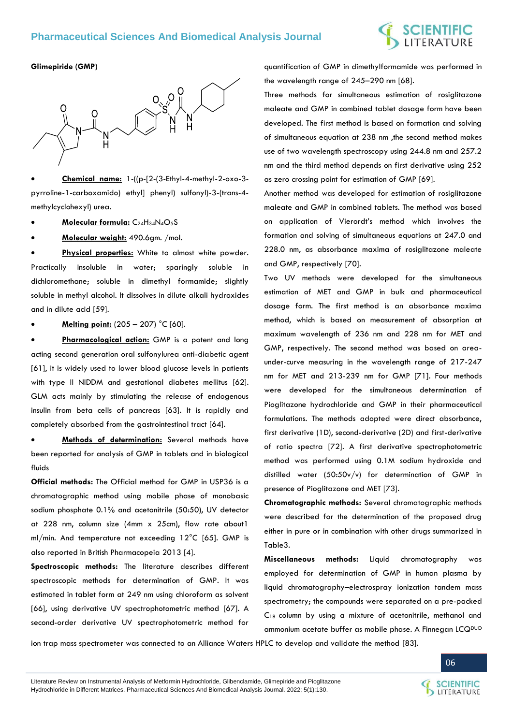# **SCIENTIFIC**<br>LITERATURE

### **Glimepiride (GMP)**



 **Chemical name:** 1-((p-[2-(3-Ethyl-4-methyl-2-oxo-3 pyrroline-1-carboxamido) ethyl] phenyl) sulfonyl)-3-(trans-4 methylcyclohexyl) urea.

- **Molecular formula:** C24H34N4O5S
- **Molecular weight:** 490.6gm. /mol.

 **Physical properties:** White to almost white powder. Practically insoluble in water; sparingly soluble in dichloromethane; soluble in dimethyl formamide; slightly soluble in methyl alcohol. It dissolves in dilute alkali hydroxides and in dilute acid [59].

**Melting point:** (205 – 207) °C [60].

 **Pharmacological action:** GMP is a potent and long acting second generation oral sulfonylurea anti-diabetic agent [61], it is widely used to lower blood glucose levels in patients with type II NIDDM and gestational diabetes mellitus [62]. GLM acts mainly by stimulating the release of endogenous insulin from beta cells of pancreas [63]. It is rapidly and completely absorbed from the gastrointestinal tract [64].

 **Methods of determination:** Several methods have been reported for analysis of GMP in tablets and in biological fluids

**Official methods:** The Official method for GMP in USP36 is a chromatographic method using mobile phase of monobasic sodium phosphate 0.1% and acetonitrile (50:50), UV detector at 228 nm, column size (4mm x 25cm), flow rate about1 ml/min. And temperature not exceeding 12°C [65]. GMP is also reported in British Pharmacopeia 2013 [4].

**Spectroscopic methods:** The literature describes different spectroscopic methods for determination of GMP. It was estimated in tablet form at 249 nm using chloroform as solvent [66], using derivative UV spectrophotometric method [67]. A second-order derivative UV spectrophotometric method for

quantification of GMP in dimethylformamide was performed in the wavelength range of 245–290 nm [68].

Three methods for simultaneous estimation of rosiglitazone maleate and GMP in combined tablet dosage form have been developed. The first method is based on formation and solving of simultaneous equation at 238 nm ,the second method makes use of two wavelength spectroscopy using 244.8 nm and 257.2 nm and the third method depends on first derivative using 252 as zero crossing point for estimation of GMP [69].

Another method was developed for estimation of rosiglitazone maleate and GMP in combined tablets. The method was based on application of Vierordt's method which involves the formation and solving of simultaneous equations at 247.0 and 228.0 nm, as absorbance maxima of rosiglitazone maleate and GMP, respectively [70].

Two UV methods were developed for the simultaneous estimation of MET and GMP in bulk and pharmaceutical dosage form. The first method is an absorbance maxima method, which is based on measurement of absorption at maximum wavelength of 236 nm and 228 nm for MET and GMP, respectively. The second method was based on areaunder-curve measuring in the wavelength range of 217-247 nm for MET and 213-239 nm for GMP [71]. Four methods were developed for the simultaneous determination of Pioglitazone hydrochloride and GMP in their pharmaceutical formulations. The methods adopted were direct absorbance, first derivative (1D), second-derivative (2D) and first-derivative of ratio spectra [72]. A first derivative spectrophotometric method was performed using 0.1M sodium hydroxide and distilled water (50:50v/v) for determination of GMP in presence of Pioglitazone and MET [73].

**Chromatographic methods:** Several chromatographic methods were described for the determination of the proposed drug either in pure or in combination with other drugs summarized in Table3.

**Miscellaneous methods:** Liquid chromatography was employed for determination of GMP in human plasma by liquid chromatography–electrospray ionization tandem mass spectrometry; the compounds were separated on a pre-packed C<sup>18</sup> column by using a mixture of acetonitrile, methanol and ammonium acetate buffer as mobile phase. A Finnegan LCQ<sup>DUO</sup>

ion trap mass spectrometer was connected to an Alliance Waters HPLC to develop and validate the method [83].



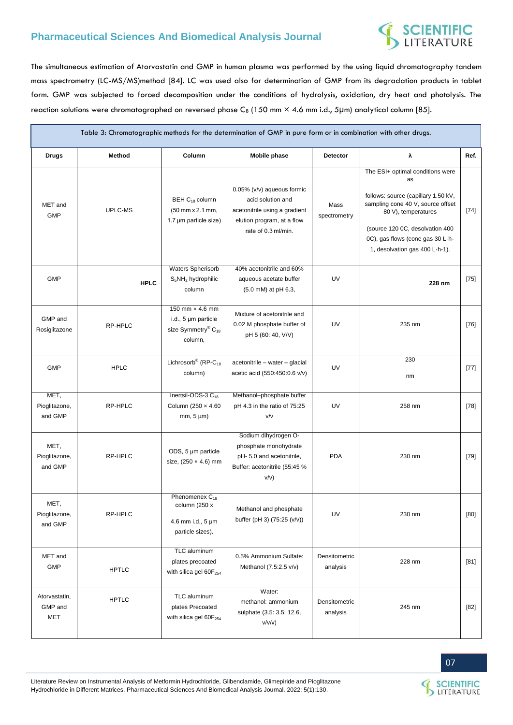# **SCIENTIFIC**<br>LITERATURE

The simultaneous estimation of Atorvastatin and GMP in human plasma was performed by the using liquid chromatography tandem mass spectrometry (LC-MS/MS)method [84]. LC was used also for determination of GMP from its degradation products in tablet form. GMP was subjected to forced decomposition under the conditions of hydrolysis, oxidation, dry heat and photolysis. The reaction solutions were chromatographed on reversed phase C8 (150 mm × 4.6 mm i.d., 5µm) analytical column [85].

| Table 3: Chromatographic methods for the determination of GMP in pure form or in combination with other drugs. |              |                                                                                                 |                                                                                                                                       |                           |                                                                                                                                                                                                                                                    |        |  |  |
|----------------------------------------------------------------------------------------------------------------|--------------|-------------------------------------------------------------------------------------------------|---------------------------------------------------------------------------------------------------------------------------------------|---------------------------|----------------------------------------------------------------------------------------------------------------------------------------------------------------------------------------------------------------------------------------------------|--------|--|--|
| <b>Drugs</b>                                                                                                   | Method       | Column                                                                                          | Mobile phase                                                                                                                          | Detector                  | λ                                                                                                                                                                                                                                                  | Ref.   |  |  |
| MET and<br><b>GMP</b>                                                                                          | UPLC-MS      | BEH C <sub>18</sub> column<br>(50 mm x 2.1 mm,<br>1.7 µm particle size)                         | 0.05% (v/v) aqueous formic<br>acid solution and<br>acetonitrile using a gradient<br>elution program, at a flow<br>rate of 0.3 ml/min. | Mass<br>spectrometry      | The ESI+ optimal conditions were<br>as<br>follows: source (capillary 1.50 kV,<br>sampling cone 40 V, source offset<br>80 V), temperatures<br>(source 120 0C, desolvation 400<br>0C), gas flows (cone gas 30 L-h-<br>1, desolvation gas 400 L-h-1). | $[74]$ |  |  |
| <b>GMP</b>                                                                                                     | <b>HPLC</b>  | Waters Spherisorb<br>$S_5NH_2$ hydrophilic<br>column                                            | 40% acetonitrile and 60%<br>aqueous acetate buffer<br>(5.0 mM) at pH 6.3,                                                             | UV                        | 228 nm                                                                                                                                                                                                                                             | $[75]$ |  |  |
| GMP and<br>Rosiglitazone                                                                                       | RP-HPLC      | 150 mm × 4.6 mm<br>i.d., 5 µm particle<br>size Symmetry <sup>®</sup> C <sub>18</sub><br>column, | Mixture of acetonitrile and<br>0.02 M phosphate buffer of<br>pH 5 (60: 40, V/V)                                                       | UV                        | 235 nm                                                                                                                                                                                                                                             | [76]   |  |  |
| <b>GMP</b>                                                                                                     | <b>HPLC</b>  | Lichrosorb <sup>®</sup> (RP-C <sub>18</sub><br>column)                                          | acetonitrile - water - glacial<br>acetic acid (550:450:0.6 v/v)                                                                       | UV                        | 230<br>nm                                                                                                                                                                                                                                          | $[77]$ |  |  |
| MET,<br>Pioglitazone,<br>and GMP                                                                               | RP-HPLC      | Inertsil-ODS-3 C <sub>18</sub><br>Column (250 x 4.60<br>$mm, 5 \mu m)$                          | Methanol-phosphate buffer<br>pH 4.3 in the ratio of 75:25<br>V/V                                                                      | UV                        | 258 nm                                                                                                                                                                                                                                             | $[78]$ |  |  |
| MET,<br>Pioglitazone,<br>and GMP                                                                               | RP-HPLC      | ODS, 5 µm particle<br>size, $(250 \times 4.6)$ mm                                               | Sodium dihydrogen O-<br>phosphate monohydrate<br>pH- 5.0 and acetonitrile,<br>Buffer: acetonitrile (55:45 %<br>V/V)                   | <b>PDA</b>                | 230 nm                                                                                                                                                                                                                                             | [79]   |  |  |
| MET,<br>Pioglitazone,<br>and GMP                                                                               | RP-HPLC      | Phenomenex C <sub>18</sub><br>column (250 x<br>4.6 mm i.d., 5 µm<br>particle sizes).            | Methanol and phosphate<br>buffer (pH 3) (75:25 (v/v))                                                                                 | UV                        | 230 nm                                                                                                                                                                                                                                             | [80]   |  |  |
| MET and<br><b>GMP</b>                                                                                          | <b>HPTLC</b> | TLC aluminum<br>plates precoated<br>with silica gel 60F <sub>254</sub>                          | 0.5% Ammonium Sulfate:<br>Methanol (7.5:2.5 v/v)                                                                                      | Densitometric<br>analysis | 228 nm                                                                                                                                                                                                                                             | [81]   |  |  |
| Atorvastatin,<br>GMP and<br><b>MET</b>                                                                         | <b>HPTLC</b> | TLC aluminum<br>plates Precoated<br>with silica gel 60F <sub>254</sub>                          | Water:<br>methanol: ammonium<br>sulphate (3.5: 3.5: 12.6,<br>v/v/v)                                                                   | Densitometric<br>analysis | 245 nm                                                                                                                                                                                                                                             | [82]   |  |  |



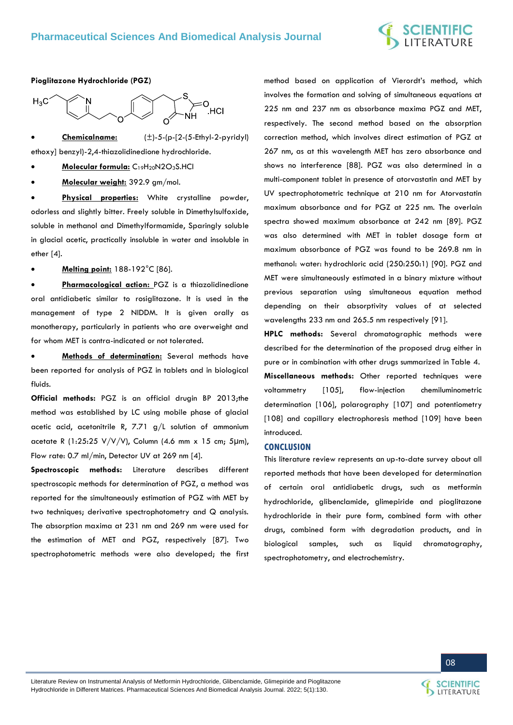### **Pioglitazone Hydrochloride (PGZ)**



 **Chemicalname:** (±)-5-(p-[2-(5-Ethyl-2-pyridyl) ethoxy] benzyl)-2,4-thiazolidinedione hydrochloride.

**Molecular formula:** C19H20N2O3S.HCl

**Molecular weight:** 392.9 gm/mol.

 **Physical properties:** White crystalline powder, odorless and slightly bitter. Freely soluble in Dimethylsulfoxide, soluble in methanol and Dimethylformamide, Sparingly soluble in glacial acetic, practically insoluble in water and insoluble in ether [4].

**Melting point:** 188-192°C [86].

 **Pharmacological action:** PGZ is a thiazolidinedione oral antidiabetic similar to rosiglitazone. It is used in the management of type 2 NIDDM. It is given orally as monotherapy, particularly in patients who are overweight and for whom MET is contra-indicated or not tolerated.

 **Methods of determination:** Several methods have been reported for analysis of PGZ in tablets and in biological fluids.

**Official methods:** PGZ is an official drugin BP 2013;the method was established by LC using mobile phase of glacial acetic acid, acetonitrile R, 7.71  $g/L$  solution of ammonium acetate R (1:25:25 V/V/V), Column (4.6 mm x 15 cm; 5μm), Flow rate: 0.7 ml/min, Detector UV at 269 nm [4].

**Spectroscopic methods:** Literature describes different spectroscopic methods for determination of PGZ, a method was reported for the simultaneously estimation of PGZ with MET by two techniques; derivative spectrophotometry and Q analysis. The absorption maxima at 231 nm and 269 nm were used for the estimation of MET and PGZ, respectively [87]. Two spectrophotometric methods were also developed; the first

method based on application of Vierordt's method, which involves the formation and solving of simultaneous equations at 225 nm and 237 nm as absorbance maxima PGZ and MET, respectively. The second method based on the absorption correction method, which involves direct estimation of PGZ at 267 nm, as at this wavelength MET has zero absorbance and shows no interference [88]. PGZ was also determined in a multi-component tablet in presence of atorvastatin and MET by UV spectrophotometric technique at 210 nm for Atorvastatin maximum absorbance and for PGZ at 225 nm. The overlain spectra showed maximum absorbance at 242 nm [89]. PGZ was also determined with MET in tablet dosage form at maximum absorbance of PGZ was found to be 269.8 nm in methanol: water: hydrochloric acid (250:250:1) [90]. PGZ and MET were simultaneously estimated in a binary mixture without previous separation using simultaneous equation method depending on their absorptivity values of at selected wavelengths 233 nm and 265.5 nm respectively [91].

**HPLC methods:** Several chromatographic methods were described for the determination of the proposed drug either in pure or in combination with other drugs summarized in Table 4. **Miscellaneous methods:** Other reported techniques were voltammetry [105], flow-injection chemiluminometric determination [106], polarography [107] and potentiometry [108] and capillary electrophoresis method [109] have been introduced.

### **CONCLUSION**

This literature review represents an up-to-date survey about all reported methods that have been developed for determination of certain oral antidiabetic drugs, such as metformin hydrochloride, glibenclamide, glimepiride and pioglitazone hydrochloride in their pure form, combined form with other drugs, combined form with degradation products, and in biological samples, such as liquid chromatography, spectrophotometry, and electrochemistry.

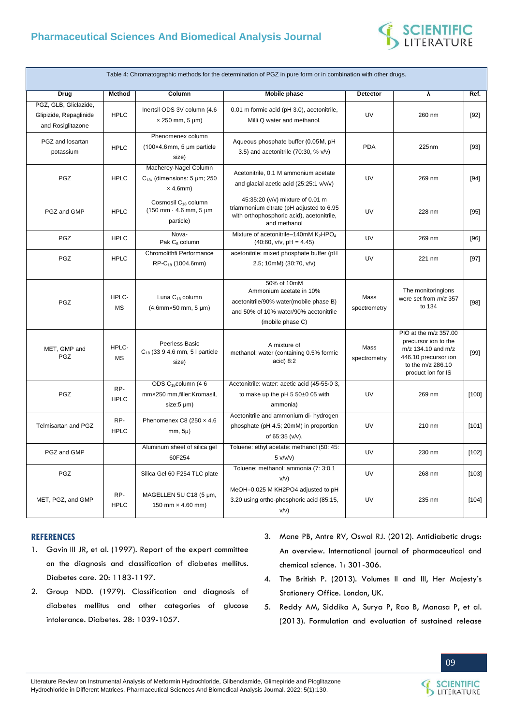

|                                                                      |                    |                                                                                                             | Table 4: Chromatographic methods for the determination of PGZ in pure form or in combination with other drugs.                                |                      |                                                                                                                                        |         |
|----------------------------------------------------------------------|--------------------|-------------------------------------------------------------------------------------------------------------|-----------------------------------------------------------------------------------------------------------------------------------------------|----------------------|----------------------------------------------------------------------------------------------------------------------------------------|---------|
| <b>Drug</b>                                                          | <b>Method</b>      | Column                                                                                                      | <b>Mobile phase</b>                                                                                                                           | <b>Detector</b>      | ⊼                                                                                                                                      | Ref.    |
| PGZ, GLB, Gliclazide,<br>Glipizide, Repaglinide<br>and Rosiglitazone | <b>HPLC</b>        | Inertsil ODS 3V column (4.6<br>$\times$ 250 mm, 5 µm)                                                       | 0.01 m formic acid (pH 3.0), acetonitrile,<br>Milli Q water and methanol.                                                                     | UV                   | 260 nm                                                                                                                                 | $[92]$  |
| PGZ and losartan<br>potassium                                        | <b>HPLC</b>        | Phenomenex column<br>$(100\times4.6$ mm, 5 µm particle<br>size)                                             | Aqueous phosphate buffer (0.05M, pH<br>3.5) and acetonitrile (70:30, % v/v)                                                                   | <b>PDA</b>           | 225 <sub>nm</sub>                                                                                                                      | [93]    |
| PGZ                                                                  | <b>HPLC</b>        | Macherey-Nagel Column<br>$C_{18}$ , (dimensions: 5 µm; 250<br>$\times$ 4.6mm)                               | Acetonitrile, 0.1 M ammonium acetate<br>and glacial acetic acid (25:25:1 v/v/v)                                                               | UV                   | 269 nm                                                                                                                                 | $[94]$  |
| PGZ and GMP                                                          | <b>HPLC</b>        | Cosmosil C <sub>18</sub> column<br>$(150 \, \text{mm} \cdot 4.6 \, \text{mm}, 5 \, \text{µm})$<br>particle) | 45:35:20 (v/v) mixture of 0.01 m<br>triammonium citrate (pH adjusted to 6.95<br>with orthophosphoric acid), acetonitrile,<br>and methanol     | UV                   | 228 nm                                                                                                                                 | $[95]$  |
| PGZ                                                                  | <b>HPLC</b>        | Nova-<br>Pak C <sub>8</sub> column                                                                          | Mixture of acetonitrile-140mM K2HPO <sub>4</sub><br>$(40:60, v/v, pH = 4.45)$                                                                 | UV                   | 269 nm                                                                                                                                 | [96]    |
| PGZ                                                                  | <b>HPLC</b>        | Chromolithfi Performance<br>RP-C <sub>18</sub> (1004.6mm)                                                   | acetonitrile: mixed phosphate buffer (pH<br>2.5; 10mM) (30:70, v/v)                                                                           | UV                   | 221 nm                                                                                                                                 | $[97]$  |
| PGZ                                                                  | HPLC-<br><b>MS</b> | Luna C <sub>18</sub> column<br>(4.6mm×50 mm, 5 µm)                                                          | 50% of 10mM<br>Ammonium acetate in 10%<br>acetonitrile/90% water(mobile phase B)<br>and 50% of 10% water/90% acetonitrile<br>(mobile phase C) | Mass<br>spectrometry | The monitoringions<br>were set from $m/z$ 357<br>to 134                                                                                | $[98]$  |
| MET, GMP and<br><b>PGZ</b>                                           | HPLC-<br><b>MS</b> | Peerless Basic<br>$C_{18}$ (33 9 4.6 mm, 5 I particle<br>size)                                              | A mixture of<br>methanol: water (containing 0.5% formic<br>$acid$ ) $8:2$                                                                     | Mass<br>spectrometry | PIO at the m/z 357.00<br>precursor ion to the<br>m/z 134.10 and m/z<br>446.10 precursor ion<br>to the m/z 286.10<br>product ion for IS | [99]    |
| PGZ                                                                  | RP-<br><b>HPLC</b> | ODS C <sub>18</sub> column (46<br>mmx250 mm, filler: Kromasil,<br>size:5 µm)                                | Acetonitrile: water: acetic acid (45:55:0 3,<br>to make up the pH 5 50±0 05 with<br>ammonia)                                                  | UV                   | 269 nm                                                                                                                                 | $[100]$ |
| Telmisartan and PGZ                                                  | RP-<br><b>HPLC</b> | Phenomenex C8 (250 x 4.6<br>$mm, 5\mu)$                                                                     | Acetonitrile and ammonium di- hydrogen<br>phosphate (pH 4.5; 20mM) in proportion<br>of 65:35 (v/v).                                           | UV                   | 210 nm                                                                                                                                 | [101]   |
| PGZ and GMP                                                          |                    | Aluminum sheet of silica gel<br>60F254                                                                      | Toluene: ethyl acetate: methanol (50: 45:<br>5 v/v/v)                                                                                         | UV                   | 230 nm                                                                                                                                 | [102]   |
| PGZ                                                                  |                    | Silica Gel 60 F254 TLC plate                                                                                | Toluene: methanol: ammonia (7: 3:0.1<br>V/V)                                                                                                  | UV                   | 268 nm                                                                                                                                 | [103]   |
| MET, PGZ, and GMP                                                    | RP-<br><b>HPLC</b> | MAGELLEN 5U C18 (5 µm,<br>150 mm $\times$ 4.60 mm)                                                          | MeOH-0.025 M KH2PO4 adjusted to pH<br>3.20 using ortho-phosphoric acid (85:15,<br>V/V)                                                        | UV                   | 235 nm                                                                                                                                 | [104]   |

### **REFERENCES**

- 1. Gavin III JR, et al. (1997). Report of the expert committee [on the diagnosis and classification of diabetes mellitus.](https://pubmed.ncbi.nlm.nih.gov/9203460/)  [Diabetes care. 20: 1183-1197.](https://pubmed.ncbi.nlm.nih.gov/9203460/)
- 2. [Group NDD. \(1979\). Classification and diagnosis of](https://pubmed.ncbi.nlm.nih.gov/510803/)  [diabetes mellitus and other categories of glucose](https://pubmed.ncbi.nlm.nih.gov/510803/)  [intolerance. Diabetes. 28: 1039-1057.](https://pubmed.ncbi.nlm.nih.gov/510803/)
- 3. [Mane PB, Antre RV, Oswal RJ. \(2012\). Antidiabetic drugs:](http://www.kknursingcollege.com/post_rn/notes/bsn_new/2/acn2/unit9/antidiabetic_agents.pdf)  [An overview. International journal of pharmaceutical and](http://www.kknursingcollege.com/post_rn/notes/bsn_new/2/acn2/unit9/antidiabetic_agents.pdf)  [chemical science. 1: 301-306.](http://www.kknursingcollege.com/post_rn/notes/bsn_new/2/acn2/unit9/antidiabetic_agents.pdf)
- 4. The British P. (2013). Volumes II and III, Her Majesty's Stationery Office. London, UK.
- 5. [Reddy AM, Siddika A, Surya P, Rao B, Manasa P, et al.](https://www.semanticscholar.org/paper/FORMULATION-AND-EVALUATION-OF-SUSTAINED-RELEASE-OF-Reddy-Siddika/c04a6c6ca833e1b881210bf5e20b40cfd46eb477)  [\(2013\). Formulation and evaluation of sustained release](https://www.semanticscholar.org/paper/FORMULATION-AND-EVALUATION-OF-SUSTAINED-RELEASE-OF-Reddy-Siddika/c04a6c6ca833e1b881210bf5e20b40cfd46eb477)

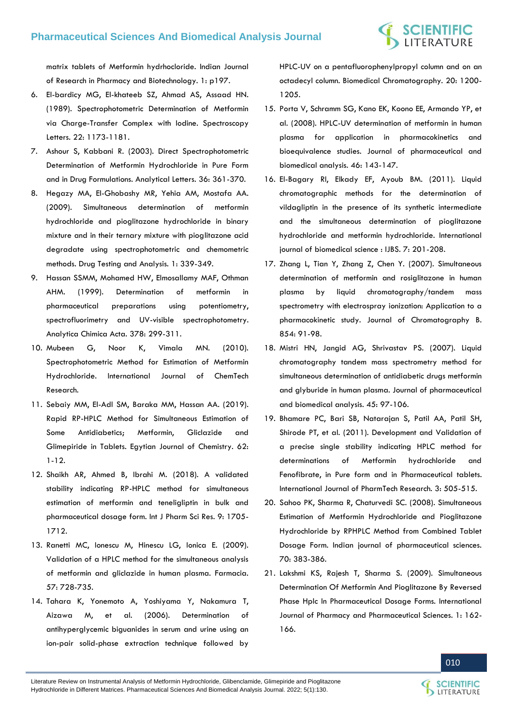[matrix tablets of Metformin hydrhocloride. Indian Journal](https://www.semanticscholar.org/paper/FORMULATION-AND-EVALUATION-OF-SUSTAINED-RELEASE-OF-Reddy-Siddika/c04a6c6ca833e1b881210bf5e20b40cfd46eb477)  [of Research in Pharmacy and Biotechnology. 1: p197.](https://www.semanticscholar.org/paper/FORMULATION-AND-EVALUATION-OF-SUSTAINED-RELEASE-OF-Reddy-Siddika/c04a6c6ca833e1b881210bf5e20b40cfd46eb477)

- 6. [El-bardicy MG, El-khateeb SZ, Ahmad AS, Assaad HN.](https://www.tandfonline.com/doi/abs/10.1080/00387018908054014)  [\(1989\). Spectrophotometric Determination of Metformin](https://www.tandfonline.com/doi/abs/10.1080/00387018908054014)  [via Charge-Transfer Complex with Iodine. Spectroscopy](https://www.tandfonline.com/doi/abs/10.1080/00387018908054014)  [Letters. 22: 1173-1181.](https://www.tandfonline.com/doi/abs/10.1080/00387018908054014)
- 7. [Ashour S, Kabbani R. \(2003\). Direct Spectrophotometric](https://www.tandfonline.com/doi/abs/10.1081/AL-120017696)  [Determination of Metformin Hydrochloride in Pure Form](https://www.tandfonline.com/doi/abs/10.1081/AL-120017696)  [and in Drug Formulations. Analytical Letters. 36: 361-370.](https://www.tandfonline.com/doi/abs/10.1081/AL-120017696)
- 8. [Hegazy MA, El-Ghobashy MR, Yehia AM, Mostafa AA.](https://analyticalsciencejournals.onlinelibrary.wiley.com/doi/10.1002/dta.60)  [\(2009\). Simultaneous determination of metformin](https://analyticalsciencejournals.onlinelibrary.wiley.com/doi/10.1002/dta.60)  [hydrochloride and pioglitazone hydrochloride in binary](https://analyticalsciencejournals.onlinelibrary.wiley.com/doi/10.1002/dta.60)  [mixture and in their ternary mixture with pioglitazone acid](https://analyticalsciencejournals.onlinelibrary.wiley.com/doi/10.1002/dta.60)  [degradate using spectrophotometric and chemometric](https://analyticalsciencejournals.onlinelibrary.wiley.com/doi/10.1002/dta.60)  [methods. Drug Testing and Analysis. 1: 339-349.](https://analyticalsciencejournals.onlinelibrary.wiley.com/doi/10.1002/dta.60)
- 9. [Hassan SSMM, Mohamed HW, Elmosallamy MAF, Othman](https://www.sciencedirect.com/science/article/abs/pii/S0003267098005005)  [AHM. \(1999\). Determination of metformin in](https://www.sciencedirect.com/science/article/abs/pii/S0003267098005005)  [pharmaceutical preparations using potentiometry,](https://www.sciencedirect.com/science/article/abs/pii/S0003267098005005)  [spectrofluorimetry and UV-visible spectrophotometry.](https://www.sciencedirect.com/science/article/abs/pii/S0003267098005005)  [Analytica Chimica Acta. 378: 299-311.](https://www.sciencedirect.com/science/article/abs/pii/S0003267098005005)
- 10. [Mubeen G, Noor K, Vimala MN. \(2010\).](https://www.researchgate.net/publication/288605692_Spectrophotometric_method_for_estimation_of_metformin_hydrochloride)  [Spectrophotometric Method for Estimation of Metformin](https://www.researchgate.net/publication/288605692_Spectrophotometric_method_for_estimation_of_metformin_hydrochloride)  [Hydrochloride. International Journal of ChemTech](https://www.researchgate.net/publication/288605692_Spectrophotometric_method_for_estimation_of_metformin_hydrochloride)  [Research.](https://www.researchgate.net/publication/288605692_Spectrophotometric_method_for_estimation_of_metformin_hydrochloride)
- 11. [Sebaiy MM, El-Adl SM, Baraka MM, Hassan AA. \(2019\).](https://ejchem.journals.ekb.eg/article_17430.html)  [Rapid RP-HPLC Method for Simultaneous Estimation of](https://ejchem.journals.ekb.eg/article_17430.html)  [Some Antidiabetics; Metformin, Gliclazide and](https://ejchem.journals.ekb.eg/article_17430.html)  [Glimepiride in Tablets. Egytian Journal of Chemistry. 62:](https://ejchem.journals.ekb.eg/article_17430.html)  [1-12.](https://ejchem.journals.ekb.eg/article_17430.html)
- 12. [Shaikh AR, Ahmed B, Ibrahi M. \(2018\). A validated](https://ijpsr.com/bft-article/a-validated-stability-indicating-rp-hplc-method-for-simultaneous-estimation-of-metformin-and-teneligliptin-in-bulk-and-pharmaceutical-dosage-form/)  [stability indicating RP-HPLC method for simultaneous](https://ijpsr.com/bft-article/a-validated-stability-indicating-rp-hplc-method-for-simultaneous-estimation-of-metformin-and-teneligliptin-in-bulk-and-pharmaceutical-dosage-form/)  [estimation of metformin and teneligliptin in bulk and](https://ijpsr.com/bft-article/a-validated-stability-indicating-rp-hplc-method-for-simultaneous-estimation-of-metformin-and-teneligliptin-in-bulk-and-pharmaceutical-dosage-form/)  [pharmaceutical dosage form. Int J Pharm Sci Res. 9: 1705-](https://ijpsr.com/bft-article/a-validated-stability-indicating-rp-hplc-method-for-simultaneous-estimation-of-metformin-and-teneligliptin-in-bulk-and-pharmaceutical-dosage-form/) [1712.](https://ijpsr.com/bft-article/a-validated-stability-indicating-rp-hplc-method-for-simultaneous-estimation-of-metformin-and-teneligliptin-in-bulk-and-pharmaceutical-dosage-form/)
- 13. [Ranetti MC, Ionescu M, Hinescu LG, Ionica E. \(2009\).](https://www.researchgate.net/publication/261360699_Validation_of_a_HPLC_method_for_the_simultaneous_analysis_of_metformin_and_gliclazide_in_human_plasma)  [Validation of a HPLC method for the simultaneous analysis](https://www.researchgate.net/publication/261360699_Validation_of_a_HPLC_method_for_the_simultaneous_analysis_of_metformin_and_gliclazide_in_human_plasma)  [of metformin and gliclazide in human plasma. Farmacia.](https://www.researchgate.net/publication/261360699_Validation_of_a_HPLC_method_for_the_simultaneous_analysis_of_metformin_and_gliclazide_in_human_plasma)  [57: 728-735.](https://www.researchgate.net/publication/261360699_Validation_of_a_HPLC_method_for_the_simultaneous_analysis_of_metformin_and_gliclazide_in_human_plasma)
- 14. [Tahara K, Yonemoto A, Yoshiyama Y, Nakamura T,](https://pubmed.ncbi.nlm.nih.gov/16799926/)  [Aizawa M, et al. \(2006\). Determination of](https://pubmed.ncbi.nlm.nih.gov/16799926/)  [antihyperglycemic biguanides in serum and urine using an](https://pubmed.ncbi.nlm.nih.gov/16799926/)  [ion-pair solid-phase extraction technique followed by](https://pubmed.ncbi.nlm.nih.gov/16799926/)

[HPLC-UV on a pentafluorophenylpropyl column and on an](https://pubmed.ncbi.nlm.nih.gov/16799926/)  [octadecyl column. Biomedical Chromatography. 20: 1200-](https://pubmed.ncbi.nlm.nih.gov/16799926/) [1205.](https://pubmed.ncbi.nlm.nih.gov/16799926/)

- 15. [Porta V, Schramm SG, Kano EK, Koono EE, Armando YP, et](https://www.sciencedirect.com/science/article/abs/pii/S0731708507005717)  [al. \(2008\). HPLC-UV determination of metformin in human](https://www.sciencedirect.com/science/article/abs/pii/S0731708507005717)  [plasma for application in pharmacokinetics and](https://www.sciencedirect.com/science/article/abs/pii/S0731708507005717)  [bioequivalence studies. Journal of pharmaceutical and](https://www.sciencedirect.com/science/article/abs/pii/S0731708507005717)  [biomedical analysis. 46: 143-147.](https://www.sciencedirect.com/science/article/abs/pii/S0731708507005717)
- 16. El-Bagary RI, Elkady EF, [Ayoub BM. \(2011\). Liquid](https://www.ncbi.nlm.nih.gov/pmc/articles/PMC3614836/)  [chromatographic methods for the determination of](https://www.ncbi.nlm.nih.gov/pmc/articles/PMC3614836/)  [vildagliptin in the presence of its synthetic intermediate](https://www.ncbi.nlm.nih.gov/pmc/articles/PMC3614836/)  [and the simultaneous determination of pioglitazone](https://www.ncbi.nlm.nih.gov/pmc/articles/PMC3614836/)  [hydrochloride and metformin hydrochloride. International](https://www.ncbi.nlm.nih.gov/pmc/articles/PMC3614836/)  [journal of biomedical science : IJBS. 7: 201-208.](https://www.ncbi.nlm.nih.gov/pmc/articles/PMC3614836/)
- 17. [Zhang L, Tian Y, Zhang Z, Chen Y. \(2007\). Simultaneous](https://pubmed.ncbi.nlm.nih.gov/17459785/)  [determination of metformin and rosiglitazone in human](https://pubmed.ncbi.nlm.nih.gov/17459785/)  [plasma by liquid chromatography/tandem mass](https://pubmed.ncbi.nlm.nih.gov/17459785/)  [spectrometry with electrospray ionization: Application to a](https://pubmed.ncbi.nlm.nih.gov/17459785/)  [pharmacokinetic study. Journal of Chromatography B.](https://pubmed.ncbi.nlm.nih.gov/17459785/)  [854: 91-98.](https://pubmed.ncbi.nlm.nih.gov/17459785/)
- 18. Mistri HN, Janaid AG, Shrivastav PS, (2007). Liquid [chromatography tandem mass spectrometry method for](https://pubmed.ncbi.nlm.nih.gov/17628384/)  [simultaneous determination of antidiabetic drugs metformin](https://pubmed.ncbi.nlm.nih.gov/17628384/)  [and glyburide in human plasma. Journal of pharmaceutical](https://pubmed.ncbi.nlm.nih.gov/17628384/)  [and biomedical analysis. 45: 97-106.](https://pubmed.ncbi.nlm.nih.gov/17628384/)
- 19. [Bhamare PC, Bari SB, Natarajan S, Patil AA, Patil SH,](https://www.sphinxsai.com/Vol.3No.1/pharm_jan-mar11/pdf/JM11(PT=83)%20pp%20505-515.pdf)  [Shirode PT, et al. \(2011\). Development and Validation of](https://www.sphinxsai.com/Vol.3No.1/pharm_jan-mar11/pdf/JM11(PT=83)%20pp%20505-515.pdf)  [a precise single stability indicating HPLC method for](https://www.sphinxsai.com/Vol.3No.1/pharm_jan-mar11/pdf/JM11(PT=83)%20pp%20505-515.pdf)  [determinations of Metformin hydrochloride and](https://www.sphinxsai.com/Vol.3No.1/pharm_jan-mar11/pdf/JM11(PT=83)%20pp%20505-515.pdf)  Fenofibrate, in Pure form [and in Pharmaceutical tablets.](https://www.sphinxsai.com/Vol.3No.1/pharm_jan-mar11/pdf/JM11(PT=83)%20pp%20505-515.pdf)  [International Journal of PharmTech Research. 3: 505-515.](https://www.sphinxsai.com/Vol.3No.1/pharm_jan-mar11/pdf/JM11(PT=83)%20pp%20505-515.pdf)
- 20. [Sahoo PK, Sharma R, Chaturvedi SC. \(2008\). Simultaneous](https://www.ncbi.nlm.nih.gov/pmc/articles/PMC2792515/)  [Estimation of Metformin Hydrochloride and](https://www.ncbi.nlm.nih.gov/pmc/articles/PMC2792515/) Pioglitazone [Hydrochloride by RPHPLC Method from Combined Tablet](https://www.ncbi.nlm.nih.gov/pmc/articles/PMC2792515/)  [Dosage Form. Indian journal of pharmaceutical sciences.](https://www.ncbi.nlm.nih.gov/pmc/articles/PMC2792515/)  [70: 383-386.](https://www.ncbi.nlm.nih.gov/pmc/articles/PMC2792515/)
- 21. [Lakshmi KS, Rajesh T, Sharma S. \(2009\). Simultaneous](https://innovareacademics.in/journal/ijpps/Vol1Issue2/185.pdf)  [Determination Of Metformin And Pioglitazone By Reversed](https://innovareacademics.in/journal/ijpps/Vol1Issue2/185.pdf)  [Phase Hplc In Pharmaceutical Dosage Forms. International](https://innovareacademics.in/journal/ijpps/Vol1Issue2/185.pdf)  [Journal of Pharmacy and Pharmaceutical Sciences. 1: 162-](https://innovareacademics.in/journal/ijpps/Vol1Issue2/185.pdf) [166.](https://innovareacademics.in/journal/ijpps/Vol1Issue2/185.pdf)



Literature Review on Instrumental Analysis of Metformin Hydrochloride, Glibenclamide, Glimepiride and Pioglitazone Hydrochloride in Different Matrices. Pharmaceutical Sciences And Biomedical Analysis Journal. 2022; 5(1):130.

LITERATURE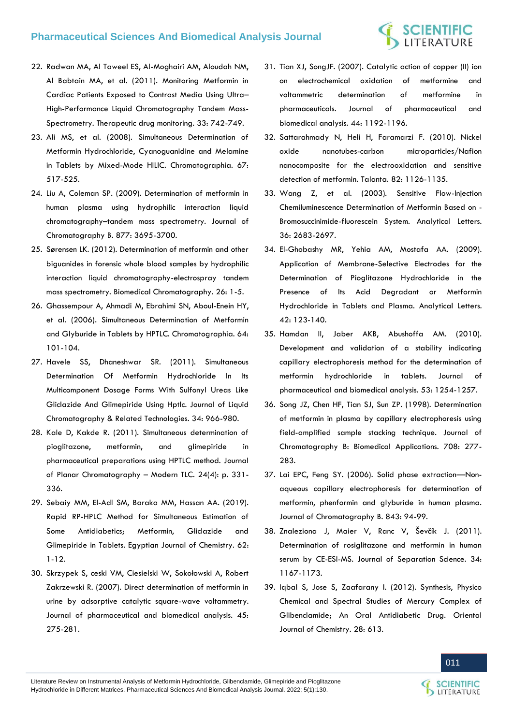# **SCIENTIFIC**<br>LITERATURE

- 22. [Radwan MA, Al Taweel ES, Al-Moghairi AM, Aloudah NM,](https://pubmed.ncbi.nlm.nih.gov/22105592/)  [Al Babtain MA, et al. \(2011\). Monitoring Metformin in](https://pubmed.ncbi.nlm.nih.gov/22105592/)  [Cardiac Patients Exposed to Contrast Media Using Ultra](https://pubmed.ncbi.nlm.nih.gov/22105592/)– [High-Performance Liquid Chromatography Tandem Mass-](https://pubmed.ncbi.nlm.nih.gov/22105592/)[Spectrometry. Therapeutic drug monitoring. 33: 742-749.](https://pubmed.ncbi.nlm.nih.gov/22105592/)
- 23. [Ali MS, et al. \(2008\). Simultaneous Determination of](https://www.researchgate.net/publication/226716756_Simultaneous_Determination_of_Metformin_Hydrochloride_Cyanoguanidine_and_Melamine_in_Tablets_by_Mixed-Mode_HILIC)  Metformin Hydrochloride, [Cyanoguanidine and Melamine](https://www.researchgate.net/publication/226716756_Simultaneous_Determination_of_Metformin_Hydrochloride_Cyanoguanidine_and_Melamine_in_Tablets_by_Mixed-Mode_HILIC)  [in Tablets by Mixed-Mode HILIC. Chromatographia. 67:](https://www.researchgate.net/publication/226716756_Simultaneous_Determination_of_Metformin_Hydrochloride_Cyanoguanidine_and_Melamine_in_Tablets_by_Mixed-Mode_HILIC)  [517-525.](https://www.researchgate.net/publication/226716756_Simultaneous_Determination_of_Metformin_Hydrochloride_Cyanoguanidine_and_Melamine_in_Tablets_by_Mixed-Mode_HILIC)
- 24. [Liu A, Coleman SP. \(2009\). Determination of metformin in](https://pubmed.ncbi.nlm.nih.gov/19783231/)  [human plasma using hydrophilic interaction liquid](https://pubmed.ncbi.nlm.nih.gov/19783231/)  chromatography–[tandem mass spectrometry. Journal of](https://pubmed.ncbi.nlm.nih.gov/19783231/)  [Chromatography B. 877: 3695-3700.](https://pubmed.ncbi.nlm.nih.gov/19783231/)
- 25. [Sørensen LK. \(2012\). Determination of metformin and other](https://pubmed.ncbi.nlm.nih.gov/21374650/)  [biguanides in forensic whole blood samples by hydrophilic](https://pubmed.ncbi.nlm.nih.gov/21374650/)  [interaction liquid chromatography-electrospray tandem](https://pubmed.ncbi.nlm.nih.gov/21374650/)  [mass spectrometry. Biomedical Chromatography. 26: 1-5.](https://pubmed.ncbi.nlm.nih.gov/21374650/)
- 26. [Ghassempour A, Ahmadi M, Ebrahimi SN, Aboul-Enein HY,](https://link.springer.com/article/10.1365/s10337-006-0827-5)  [et al. \(2006\). Simultaneous Determination of Metformin](https://link.springer.com/article/10.1365/s10337-006-0827-5)  [and Glyburide in Tablets by HPTLC. Chromatographia. 64:](https://link.springer.com/article/10.1365/s10337-006-0827-5)  [101-104.](https://link.springer.com/article/10.1365/s10337-006-0827-5)
- 27. [Havele SS, Dhaneshwar SR. \(2011\). Simultaneous](https://www.researchgate.net/publication/232912519_Simultaneous_determination_of_metformin_hydrochloride_in_its_multicomponent_dosage_forms_with_sulfonyl_ureas_like_gliclazide_and_glimepiride_using_HPTLC)  [Determination Of Metformin Hydrochloride In Its](https://www.researchgate.net/publication/232912519_Simultaneous_determination_of_metformin_hydrochloride_in_its_multicomponent_dosage_forms_with_sulfonyl_ureas_like_gliclazide_and_glimepiride_using_HPTLC)  [Multicomponent Dosage Forms With Sulfonyl Ureas Like](https://www.researchgate.net/publication/232912519_Simultaneous_determination_of_metformin_hydrochloride_in_its_multicomponent_dosage_forms_with_sulfonyl_ureas_like_gliclazide_and_glimepiride_using_HPTLC)  [Gliclazide And Glimepiride Using Hptlc. Journal of Liquid](https://www.researchgate.net/publication/232912519_Simultaneous_determination_of_metformin_hydrochloride_in_its_multicomponent_dosage_forms_with_sulfonyl_ureas_like_gliclazide_and_glimepiride_using_HPTLC)  [Chromatography & Related Technologies. 34: 966-980.](https://www.researchgate.net/publication/232912519_Simultaneous_determination_of_metformin_hydrochloride_in_its_multicomponent_dosage_forms_with_sulfonyl_ureas_like_gliclazide_and_glimepiride_using_HPTLC)
- 28. [Kale D, Kakde R. \(2011\). Simultaneous determination of](https://www.researchgate.net/publication/270533783_Simultaneous_Determination_of_Pioglitazone_Metformin_and_Glimepiride_in_Pharmaceutical_Preparations_using_HPTLC_Method)  [pioglitazone, metformin, and glimepiride in](https://www.researchgate.net/publication/270533783_Simultaneous_Determination_of_Pioglitazone_Metformin_and_Glimepiride_in_Pharmaceutical_Preparations_using_HPTLC_Method)  [pharmaceutical preparations using HPTLC method. Journal](https://www.researchgate.net/publication/270533783_Simultaneous_Determination_of_Pioglitazone_Metformin_and_Glimepiride_in_Pharmaceutical_Preparations_using_HPTLC_Method)  of Planar Chromatography – [Modern TLC. 24\(4\): p. 331-](https://www.researchgate.net/publication/270533783_Simultaneous_Determination_of_Pioglitazone_Metformin_and_Glimepiride_in_Pharmaceutical_Preparations_using_HPTLC_Method) [336.](https://www.researchgate.net/publication/270533783_Simultaneous_Determination_of_Pioglitazone_Metformin_and_Glimepiride_in_Pharmaceutical_Preparations_using_HPTLC_Method)
- 29. [Sebaiy MM, El-Adl SM, Baraka MM, Hassan AA. \(2019\).](https://ejchem.journals.ekb.eg/article_17430_7c5dc1ab77b53092018f88362aeb8cbf.pdf)  [Rapid RP-HPLC Method for Simultaneous Estimation of](https://ejchem.journals.ekb.eg/article_17430_7c5dc1ab77b53092018f88362aeb8cbf.pdf)  [Some Antidiabetics; Metformin, Gliclazide and](https://ejchem.journals.ekb.eg/article_17430_7c5dc1ab77b53092018f88362aeb8cbf.pdf)  [Glimepiride in Tablets. Egyptian Journal of Chemistry. 62:](https://ejchem.journals.ekb.eg/article_17430_7c5dc1ab77b53092018f88362aeb8cbf.pdf)  [1-12.](https://ejchem.journals.ekb.eg/article_17430_7c5dc1ab77b53092018f88362aeb8cbf.pdf)
- 30. [Skrzypek S, ceski VM, Ciesielski W, Sokołowski A, Robert](https://coek.info/pdf-direct-determination-of-metformin-in-urine-by-adsorptive-catalytic-square-wave-v.html)  [Zakrzewski R. \(2007\). Direct determination of metformin in](https://coek.info/pdf-direct-determination-of-metformin-in-urine-by-adsorptive-catalytic-square-wave-v.html)  [urine by adsorptive catalytic square-wave voltammetry.](https://coek.info/pdf-direct-determination-of-metformin-in-urine-by-adsorptive-catalytic-square-wave-v.html)  [Journal of pharmaceutical and biomedical analysis. 45:](https://coek.info/pdf-direct-determination-of-metformin-in-urine-by-adsorptive-catalytic-square-wave-v.html)  [275-281.](https://coek.info/pdf-direct-determination-of-metformin-in-urine-by-adsorptive-catalytic-square-wave-v.html)
- 31. [Tian XJ, SongJF. \(2007\). Catalytic action of copper \(II\) ion](https://pubmed.ncbi.nlm.nih.gov/17531418/)  [on electrochemical oxidation of metformine and](https://pubmed.ncbi.nlm.nih.gov/17531418/)  [voltammetric determination of metformine in](https://pubmed.ncbi.nlm.nih.gov/17531418/)  [pharmaceuticals. Journal of pharmaceutical and](https://pubmed.ncbi.nlm.nih.gov/17531418/)  [biomedical analysis.](https://pubmed.ncbi.nlm.nih.gov/17531418/) 44: 1192-1196.
- 32. [Sattarahmady N, Heli H, Faramarzi F. \(2010\). Nickel](https://pubmed.ncbi.nlm.nih.gov/20801308/)  [oxide nanotubes-carbon microparticles/Nafion](https://pubmed.ncbi.nlm.nih.gov/20801308/)  [nanocomposite for the electrooxidation and sensitive](https://pubmed.ncbi.nlm.nih.gov/20801308/)  [detection of metformin. Talanta.](https://pubmed.ncbi.nlm.nih.gov/20801308/) 82: 1126-1135.
- 33. Wang Z, et al. (2003). Sensitive Flow-Injection Chemiluminescence Determination of Metformin Based on - Bromosuccinimide-fluorescein System. Analytical Letters. 36: 2683-2697.
- 34. [El-Ghobashy MR, Yehia AM, Mostafa AA. \(2009\).](https://www.tandfonline.com/doi/abs/10.1080/00032710802568606)  [Application of Membrane-Selective Electrodes for the](https://www.tandfonline.com/doi/abs/10.1080/00032710802568606)  [Determination of Pioglitazone Hydrochloride in the](https://www.tandfonline.com/doi/abs/10.1080/00032710802568606)  [Presence of Its Acid Degradant or Metformin](https://www.tandfonline.com/doi/abs/10.1080/00032710802568606)  [Hydrochloride in Tablets and Plasma. Analytical Letters.](https://www.tandfonline.com/doi/abs/10.1080/00032710802568606)  [42: 123-140.](https://www.tandfonline.com/doi/abs/10.1080/00032710802568606)
- 35. [Hamdan II, Jaber AKB, Abushoffa AM. \(2010\).](https://pubmed.ncbi.nlm.nih.gov/20395106/)  [Development and validation of a stability indicating](https://pubmed.ncbi.nlm.nih.gov/20395106/)  [capillary electrophoresis method for the determination of](https://pubmed.ncbi.nlm.nih.gov/20395106/)  [metformin hydrochloride in tablets. Journal of](https://pubmed.ncbi.nlm.nih.gov/20395106/)  [pharmaceutical and biomedical analysis. 53: 1254-1257.](https://pubmed.ncbi.nlm.nih.gov/20395106/)
- 36. [Song JZ, Chen HF, Tian SJ, Sun ZP. \(1998\). Determination](https://pubmed.ncbi.nlm.nih.gov/9653973/)  [of metformin in plasma by capillary electrophoresis using](https://pubmed.ncbi.nlm.nih.gov/9653973/)  [field-amplified sample stacking technique. Journal of](https://pubmed.ncbi.nlm.nih.gov/9653973/)  [Chromatography B: Biomedical Applications. 708: 277-](https://pubmed.ncbi.nlm.nih.gov/9653973/) [283.](https://pubmed.ncbi.nlm.nih.gov/9653973/)
- 37. [Lai EPC, Feng SY. \(2006\). Solid phase extraction](https://pubmed.ncbi.nlm.nih.gov/16787767/)—Non[aqueous capillary electrophoresis for determination of](https://pubmed.ncbi.nlm.nih.gov/16787767/)  [metformin, phenformin and glyburide in human plasma.](https://pubmed.ncbi.nlm.nih.gov/16787767/)  [Journal of Chromatography B. 843: 94-99.](https://pubmed.ncbi.nlm.nih.gov/16787767/)
- 38. [Znaleziona J, Maier V, Ranc V, Ševčík J. \(2011\).](https://analyticalsciencejournals.onlinelibrary.wiley.com/doi/abs/10.1002/jssc.201000823)  [Determination of rosiglitazone and metformin in human](https://analyticalsciencejournals.onlinelibrary.wiley.com/doi/abs/10.1002/jssc.201000823)  [serum by CE-ESI-MS. Journal of Separation Science. 34:](https://analyticalsciencejournals.onlinelibrary.wiley.com/doi/abs/10.1002/jssc.201000823)  [1167-1173.](https://analyticalsciencejournals.onlinelibrary.wiley.com/doi/abs/10.1002/jssc.201000823)
- 39. [Iqbal S, Jose S, Zaafarany I. \(2012\). Synthesis, Physico](https://www.researchgate.net/publication/273366150_Synthesis_Physico_Chemical_and_Spectral_Studies_of_Mercury_Complex_of_Glibenclamide_An_Oral_Antidiabetic_Drug)  [Chemical and Spectral Studies of Mercury Complex of](https://www.researchgate.net/publication/273366150_Synthesis_Physico_Chemical_and_Spectral_Studies_of_Mercury_Complex_of_Glibenclamide_An_Oral_Antidiabetic_Drug)  [Glibenclamide; An Oral Antidiabetic Drug. Oriental](https://www.researchgate.net/publication/273366150_Synthesis_Physico_Chemical_and_Spectral_Studies_of_Mercury_Complex_of_Glibenclamide_An_Oral_Antidiabetic_Drug)  [Journal of Chemistry. 28: 613.](https://www.researchgate.net/publication/273366150_Synthesis_Physico_Chemical_and_Spectral_Studies_of_Mercury_Complex_of_Glibenclamide_An_Oral_Antidiabetic_Drug)



LITERATURE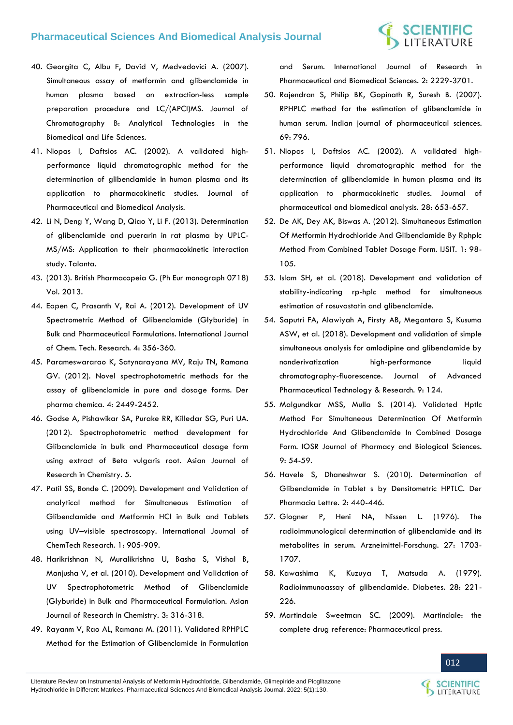# **SCIENTIFIC**<br>LITERATURE

- 40. [Georgita C, Albu F, David V, Medvedovici A. \(2007\).](https://www.researchgate.net/publication/6332168_Simultaneous_assay_of_metformin_and_glibenclamide_in_human_plasma_based_on_extraction-less_sample_preparation_procedure_and_LCAPCIMS)  [Simultaneous assay of metformin and glibenclamide in](https://www.researchgate.net/publication/6332168_Simultaneous_assay_of_metformin_and_glibenclamide_in_human_plasma_based_on_extraction-less_sample_preparation_procedure_and_LCAPCIMS)  [human plasma based on extraction-less sample](https://www.researchgate.net/publication/6332168_Simultaneous_assay_of_metformin_and_glibenclamide_in_human_plasma_based_on_extraction-less_sample_preparation_procedure_and_LCAPCIMS)  [preparation procedure and LC/\(APCI\)MS. Journal of](https://www.researchgate.net/publication/6332168_Simultaneous_assay_of_metformin_and_glibenclamide_in_human_plasma_based_on_extraction-less_sample_preparation_procedure_and_LCAPCIMS)  [Chromatography B: Analytical Technologies in the](https://www.researchgate.net/publication/6332168_Simultaneous_assay_of_metformin_and_glibenclamide_in_human_plasma_based_on_extraction-less_sample_preparation_procedure_and_LCAPCIMS)  [Biomedical and Life Sciences.](https://www.researchgate.net/publication/6332168_Simultaneous_assay_of_metformin_and_glibenclamide_in_human_plasma_based_on_extraction-less_sample_preparation_procedure_and_LCAPCIMS)
- 41. [Niopas I, Daftsios AC. \(2002\). A validated high](https://www.researchgate.net/publication/11363460_A_validated_high-performance_liquid_chromatographic_method_for_the_determination_of_glibenclamide_in_human_plasma_and_its_application_to_pharmacokinetic_studies)[performance liquid chromatographic method for the](https://www.researchgate.net/publication/11363460_A_validated_high-performance_liquid_chromatographic_method_for_the_determination_of_glibenclamide_in_human_plasma_and_its_application_to_pharmacokinetic_studies)  [determination of glibenclamide in human plasma and its](https://www.researchgate.net/publication/11363460_A_validated_high-performance_liquid_chromatographic_method_for_the_determination_of_glibenclamide_in_human_plasma_and_its_application_to_pharmacokinetic_studies)  [application to pharmacokinetic studies. Journal of](https://www.researchgate.net/publication/11363460_A_validated_high-performance_liquid_chromatographic_method_for_the_determination_of_glibenclamide_in_human_plasma_and_its_application_to_pharmacokinetic_studies)  [Pharmaceutical and Biomedical Analysis.](https://www.researchgate.net/publication/11363460_A_validated_high-performance_liquid_chromatographic_method_for_the_determination_of_glibenclamide_in_human_plasma_and_its_application_to_pharmacokinetic_studies)
- 42. [Li N, Deng Y, Wang D, Qiao Y, Li F. \(2013\). Determination](https://pubmed.ncbi.nlm.nih.gov/23597896/)  [of glibenclamide and puerarin in rat plasma by UPLC-](https://pubmed.ncbi.nlm.nih.gov/23597896/)[MS/MS: Application to their pharmacokinetic interaction](https://pubmed.ncbi.nlm.nih.gov/23597896/)  [study. Talanta.](https://pubmed.ncbi.nlm.nih.gov/23597896/)
- 43. (2013). British Pharmacopeia G. (Ph Eur monograph 0718) Vol. 2013.
- 44. [Eapen C, Prasanth V, Rai A. \(2012\). Development of UV](https://www.researchgate.net/publication/343060116_Development_of_UV_Spectrometric_Method_of_Glibenclamide_Glyburide_in_Bulk_and_Pharmaceutical_Formulations)  [Spectrometric Method of Glibenclamide \(Glyburide\) in](https://www.researchgate.net/publication/343060116_Development_of_UV_Spectrometric_Method_of_Glibenclamide_Glyburide_in_Bulk_and_Pharmaceutical_Formulations)  [Bulk and Pharmaceutical Formulations. International Journal](https://www.researchgate.net/publication/343060116_Development_of_UV_Spectrometric_Method_of_Glibenclamide_Glyburide_in_Bulk_and_Pharmaceutical_Formulations)  [of Chem. Tech. Research. 4: 356-360.](https://www.researchgate.net/publication/343060116_Development_of_UV_Spectrometric_Method_of_Glibenclamide_Glyburide_in_Bulk_and_Pharmaceutical_Formulations)
- 45. [Parameswararao K, Satynarayana MV, Raju TN, Ramana](https://www.derpharmachemica.com/pharma-chemica/novel-spectrophotometric-methods-for-the-assay-of-glibenclamide-in-pure-and-dosage-forms.pdf)  [GV. \(2012\). Novel spectrophotometric methods for the](https://www.derpharmachemica.com/pharma-chemica/novel-spectrophotometric-methods-for-the-assay-of-glibenclamide-in-pure-and-dosage-forms.pdf)  [assay of glibenclamide in pure and dosage forms. Der](https://www.derpharmachemica.com/pharma-chemica/novel-spectrophotometric-methods-for-the-assay-of-glibenclamide-in-pure-and-dosage-forms.pdf)  [pharma chemica. 4: 2449-2452.](https://www.derpharmachemica.com/pharma-chemica/novel-spectrophotometric-methods-for-the-assay-of-glibenclamide-in-pure-and-dosage-forms.pdf)
- 46. [Godse A, Pishawikar SA, Purake RR, Killedar SG, Puri UA.](https://ajrconline.org/HTMLPaper.aspx?Journal=Asian%20Journal%20of%20Research%20in%20Chemistry;PID=2012-5-5-5)  [\(2012\). Spectrophotometric method development for](https://ajrconline.org/HTMLPaper.aspx?Journal=Asian%20Journal%20of%20Research%20in%20Chemistry;PID=2012-5-5-5)  [Glibanclamide in bulk and Pharmaceutical dosage form](https://ajrconline.org/HTMLPaper.aspx?Journal=Asian%20Journal%20of%20Research%20in%20Chemistry;PID=2012-5-5-5)  [using extract of Beta vulgaris root. Asian Journal of](https://ajrconline.org/HTMLPaper.aspx?Journal=Asian%20Journal%20of%20Research%20in%20Chemistry;PID=2012-5-5-5)  [Research in Chemistry. 5.](https://ajrconline.org/HTMLPaper.aspx?Journal=Asian%20Journal%20of%20Research%20in%20Chemistry;PID=2012-5-5-5)
- 47. [Patil SS, Bonde C. \(2009\). Development and Validation of](https://www.researchgate.net/publication/287841194_Development_and_validation_of_analytical_method_for_simultaneous_estimation_of_glibenclamide_and_metformin_HCl_in_bulk_and_tablets_using_UV_-_Visible_spectroscopy)  [analytical method for Simultaneous Estimation of](https://www.researchgate.net/publication/287841194_Development_and_validation_of_analytical_method_for_simultaneous_estimation_of_glibenclamide_and_metformin_HCl_in_bulk_and_tablets_using_UV_-_Visible_spectroscopy)  [Glibenclamide and Metformin HCl in Bulk and Tablets](https://www.researchgate.net/publication/287841194_Development_and_validation_of_analytical_method_for_simultaneous_estimation_of_glibenclamide_and_metformin_HCl_in_bulk_and_tablets_using_UV_-_Visible_spectroscopy)  using UV–[visible spectroscopy. International Journal of](https://www.researchgate.net/publication/287841194_Development_and_validation_of_analytical_method_for_simultaneous_estimation_of_glibenclamide_and_metformin_HCl_in_bulk_and_tablets_using_UV_-_Visible_spectroscopy)  [ChemTech Research. 1: 905-909.](https://www.researchgate.net/publication/287841194_Development_and_validation_of_analytical_method_for_simultaneous_estimation_of_glibenclamide_and_metformin_HCl_in_bulk_and_tablets_using_UV_-_Visible_spectroscopy)
- 48. [Harikrishnan N, Muralikrishna U, Basha S, Vishal B,](https://www.indianjournals.com/ijor.aspx?target=ijor:ajrc&volume=3&issue=2&article=017)  [Manjusha V, et al. \(2010\). Development and Validation of](https://www.indianjournals.com/ijor.aspx?target=ijor:ajrc&volume=3&issue=2&article=017)  [UV Spectrophotometric Method of Glibenclamide](https://www.indianjournals.com/ijor.aspx?target=ijor:ajrc&volume=3&issue=2&article=017)  [\(Glyburide\) in Bulk and Pharmaceutical Formulation. Asian](https://www.indianjournals.com/ijor.aspx?target=ijor:ajrc&volume=3&issue=2&article=017)  [Journal of Research in Chemistry. 3: 316-318.](https://www.indianjournals.com/ijor.aspx?target=ijor:ajrc&volume=3&issue=2&article=017)
- 49. [Rayanm V, Rao AL, Ramana M. \(2011\). Validated RPHPLC](https://www.researchgate.net/publication/267996784_Validated_RP_-HPLC_Method_for_the_Estimation_of_Glibenclamide_in_Formulation_and_Serum)  [Method for the Estimation of Glibenclamide in Formulation](https://www.researchgate.net/publication/267996784_Validated_RP_-HPLC_Method_for_the_Estimation_of_Glibenclamide_in_Formulation_and_Serum)

[and Serum. International Journal of Research in](https://www.researchgate.net/publication/267996784_Validated_RP_-HPLC_Method_for_the_Estimation_of_Glibenclamide_in_Formulation_and_Serum)  [Pharmaceutical and Biomedical Sciences. 2: 2229-3701.](https://www.researchgate.net/publication/267996784_Validated_RP_-HPLC_Method_for_the_Estimation_of_Glibenclamide_in_Formulation_and_Serum)

- 50. [Rajendran S, Philip BK, Gopinath R, Suresh B. \(2007\).](https://www.ijpsonline.com/articles/rphplc-method-for-the-estimation-of-glibenclamide-in-human-serum.html)  [RPHPLC method for the estimation of glibenclamide in](https://www.ijpsonline.com/articles/rphplc-method-for-the-estimation-of-glibenclamide-in-human-serum.html)  [human serum. Indian journal of pharmaceutical sciences.](https://www.ijpsonline.com/articles/rphplc-method-for-the-estimation-of-glibenclamide-in-human-serum.html)  [69: 796.](https://www.ijpsonline.com/articles/rphplc-method-for-the-estimation-of-glibenclamide-in-human-serum.html)
- 51. [Niopas I, Daftsios AC. \(2002\). A validated high](https://pubmed.ncbi.nlm.nih.gov/12008145/)[performance liquid chromatographic method for the](https://pubmed.ncbi.nlm.nih.gov/12008145/)  [determination of glibenclamide in human plasma and its](https://pubmed.ncbi.nlm.nih.gov/12008145/)  [application to pharmacokinetic studies. Journal of](https://pubmed.ncbi.nlm.nih.gov/12008145/)  [pharmaceutical and biomedical analysis. 28: 653-657.](https://pubmed.ncbi.nlm.nih.gov/12008145/)
- 52. [De AK, Dey AK, Biswas A. \(2012\). Simultaneous Estimation](http://www.ijsit.com/admin/ijsit_files/SIMULTANEOUS%20ESTIMATION%20OF%20METFORMIN%20HYDROCHLORIDE%20AND%20GLIBENCLAMIDE%20BY%20RPHPLC%20METHOD%20FROM%20COMBINED%20TABLET%20DOSAGE%20FORM_1.2.3.pdf)  [Of Metformin Hydrochloride And Glibenclamide By Rphplc](http://www.ijsit.com/admin/ijsit_files/SIMULTANEOUS%20ESTIMATION%20OF%20METFORMIN%20HYDROCHLORIDE%20AND%20GLIBENCLAMIDE%20BY%20RPHPLC%20METHOD%20FROM%20COMBINED%20TABLET%20DOSAGE%20FORM_1.2.3.pdf)  [Method From Combined Tablet Dosage Form. IJSIT. 1: 98-](http://www.ijsit.com/admin/ijsit_files/SIMULTANEOUS%20ESTIMATION%20OF%20METFORMIN%20HYDROCHLORIDE%20AND%20GLIBENCLAMIDE%20BY%20RPHPLC%20METHOD%20FROM%20COMBINED%20TABLET%20DOSAGE%20FORM_1.2.3.pdf) [105.](http://www.ijsit.com/admin/ijsit_files/SIMULTANEOUS%20ESTIMATION%20OF%20METFORMIN%20HYDROCHLORIDE%20AND%20GLIBENCLAMIDE%20BY%20RPHPLC%20METHOD%20FROM%20COMBINED%20TABLET%20DOSAGE%20FORM_1.2.3.pdf)
- 53. Islam SH, et al. (2018). Development and validation of stability-indicating rp-hplc method for simultaneous estimation of rosuvastatin and glibenclamide.
- 54. [Saputri FA, Alawiyah A, Firsty AB, Megantara S, Kusuma](https://www.ncbi.nlm.nih.gov/pmc/articles/PMC6302690/)  [ASW, et al. \(2018\). Development and validation of simple](https://www.ncbi.nlm.nih.gov/pmc/articles/PMC6302690/)  [simultaneous analysis for amlodipine and glibenclamide by](https://www.ncbi.nlm.nih.gov/pmc/articles/PMC6302690/)  [nonderivatization high-performance liquid](https://www.ncbi.nlm.nih.gov/pmc/articles/PMC6302690/)  [chromatography-fluorescence. Journal of Advanced](https://www.ncbi.nlm.nih.gov/pmc/articles/PMC6302690/)  [Pharmaceutical Technology & Research. 9: 124.](https://www.ncbi.nlm.nih.gov/pmc/articles/PMC6302690/)
- 55. [Malgundkar MSS, Mulla S. \(2014\). Validated Hptlc](https://www.researchgate.net/publication/314924664_Validated_Hptlc_Method_For_Simultaneous_Determination_Of_Metformin_Hydrochloride_And_Glibenclamide_In_Combined_Dosage_Form)  [Method For Simultaneous Determination Of Metformin](https://www.researchgate.net/publication/314924664_Validated_Hptlc_Method_For_Simultaneous_Determination_Of_Metformin_Hydrochloride_And_Glibenclamide_In_Combined_Dosage_Form)  [Hydrochloride And Glibenclamide In Combined Dosage](https://www.researchgate.net/publication/314924664_Validated_Hptlc_Method_For_Simultaneous_Determination_Of_Metformin_Hydrochloride_And_Glibenclamide_In_Combined_Dosage_Form)  [Form. IOSR Journal of Pharmacy and Biological Sciences.](https://www.researchgate.net/publication/314924664_Validated_Hptlc_Method_For_Simultaneous_Determination_Of_Metformin_Hydrochloride_And_Glibenclamide_In_Combined_Dosage_Form)  [9: 54-59.](https://www.researchgate.net/publication/314924664_Validated_Hptlc_Method_For_Simultaneous_Determination_Of_Metformin_Hydrochloride_And_Glibenclamide_In_Combined_Dosage_Form)
- 56. [Havele S, Dhaneshwar S. \(2010\). Determination of](https://www.scholarsresearchlibrary.com/articles/determination-of-glibenclamide-in-tablets-by-densitometric-hptlc.pdf)  [Glibenclamide in Tablet s by Densitometric HPTLC. Der](https://www.scholarsresearchlibrary.com/articles/determination-of-glibenclamide-in-tablets-by-densitometric-hptlc.pdf)  [Pharmacia Lettre. 2: 440-446.](https://www.scholarsresearchlibrary.com/articles/determination-of-glibenclamide-in-tablets-by-densitometric-hptlc.pdf)
- 57. [Glogner P, Heni NA, Nissen L. \(1976\). The](https://www.semanticscholar.org/paper/The-radioimmunological-determination-of-and-its-in-Glogner-Heni/d38363fe904c1d8eed455fe56b05af3dba095ce4)  [radioimmunological determination of glibenclamide and its](https://www.semanticscholar.org/paper/The-radioimmunological-determination-of-and-its-in-Glogner-Heni/d38363fe904c1d8eed455fe56b05af3dba095ce4)  [metabolites in serum. Arzneimittel-Forschung. 27: 1703-](https://www.semanticscholar.org/paper/The-radioimmunological-determination-of-and-its-in-Glogner-Heni/d38363fe904c1d8eed455fe56b05af3dba095ce4) [1707.](https://www.semanticscholar.org/paper/The-radioimmunological-determination-of-and-its-in-Glogner-Heni/d38363fe904c1d8eed455fe56b05af3dba095ce4)
- 58. [Kawashima K, Kuzuya T, Matsuda A. \(1979\).](https://diabetesjournals.org/diabetes/article/28/3/221/4635/Radioimmunoassay-of-Glibenclamide)  [Radioimmunoassay of glibenclamide. Diabetes. 28: 221-](https://diabetesjournals.org/diabetes/article/28/3/221/4635/Radioimmunoassay-of-Glibenclamide) [226.](https://diabetesjournals.org/diabetes/article/28/3/221/4635/Radioimmunoassay-of-Glibenclamide)
- 59. Martindale Sweetman SC. (2009). Martindale: the complete drug reference: Pharmaceutical press.

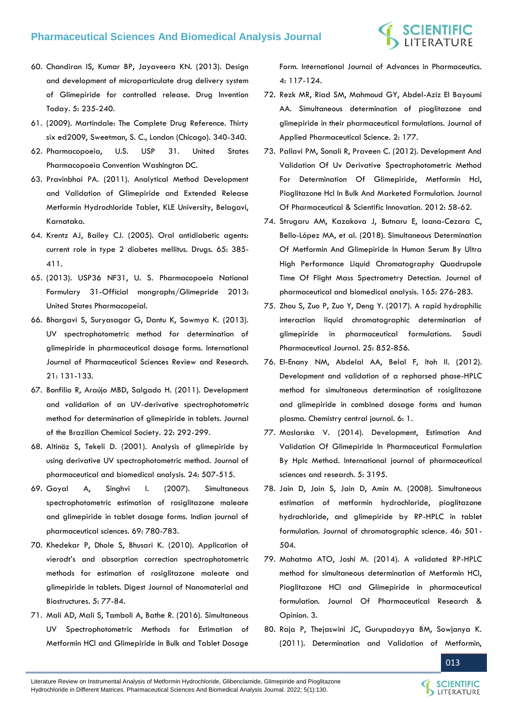

- 60. [Chandiran IS, Kumar BP, Jayaveera KN. \(2013\). Design](https://www.sciencedirect.com/science/article/pii/S0975761913000513)  [and development of microparticulate drug delivery system](https://www.sciencedirect.com/science/article/pii/S0975761913000513)  [of Glimepiride for controlled release. Drug Invention](https://www.sciencedirect.com/science/article/pii/S0975761913000513)  [Today. 5: 235-240.](https://www.sciencedirect.com/science/article/pii/S0975761913000513)
- 61. (2009). Martindale: The Complete Drug Reference. Thirty six ed2009, Sweetman, S. C., London (Chicago). 340-340.
- 62. Pharmacopoeia, U.S. USP 31. United States Pharmacopoeia Convention Washington DC.
- 63. Pravinbhai PA. (2011). Analytical Method Development and Validation of Glimepiride and Extended Release Metformin Hydrochloride Tablet, KLE University, Belagavi, Karnataka.
- 64. [Krentz AJ, Bailey CJ. \(2005\). Oral antidiabetic agents:](https://pubmed.ncbi.nlm.nih.gov/15669880/)  [current role in type 2 diabetes mellitus. Drugs. 65: 385-](https://pubmed.ncbi.nlm.nih.gov/15669880/) [411.](https://pubmed.ncbi.nlm.nih.gov/15669880/)
- 65. (2013). USP36 NF31, U. S. Pharmacopoeia National Formulary 31-Official mongraphs/Glimepride 2013: United States Pharmacopeial.
- 66. [Bhargavi S, Suryasagar G, Dantu K, Sowmya K. \(2013\).](https://www.researchgate.net/publication/255786829_UV_Spectrophotometric_Method_for_Determination_of_Glimepiride_in_Pharmaceutical_Dosage_Forms)  [UV spectrophotometric method for determination of](https://www.researchgate.net/publication/255786829_UV_Spectrophotometric_Method_for_Determination_of_Glimepiride_in_Pharmaceutical_Dosage_Forms)  [glimepiride in pharmaceutical dosage forms. International](https://www.researchgate.net/publication/255786829_UV_Spectrophotometric_Method_for_Determination_of_Glimepiride_in_Pharmaceutical_Dosage_Forms)  [Journal of Pharmaceutical Sciences Review and Research.](https://www.researchgate.net/publication/255786829_UV_Spectrophotometric_Method_for_Determination_of_Glimepiride_in_Pharmaceutical_Dosage_Forms)  [21: 131-133.](https://www.researchgate.net/publication/255786829_UV_Spectrophotometric_Method_for_Determination_of_Glimepiride_in_Pharmaceutical_Dosage_Forms)
- 67. [Bonfilio R, Araújo MBD, Salgado H. \(2011\). Development](https://www.scielo.br/j/jbchs/a/cj5ZygSjpggdjgQmjnjRnFR/?lang=en)  [and validation of an UV-derivative spectrophotometric](https://www.scielo.br/j/jbchs/a/cj5ZygSjpggdjgQmjnjRnFR/?lang=en)  [method for determination of glimepiride in tablets. Journal](https://www.scielo.br/j/jbchs/a/cj5ZygSjpggdjgQmjnjRnFR/?lang=en)  [of the Brazilian Chemical Society. 22: 292-299.](https://www.scielo.br/j/jbchs/a/cj5ZygSjpggdjgQmjnjRnFR/?lang=en)
- 68. [Altinöz S, Tekeli D. \(2001\). Analysis of glimepiride by](https://pubmed.ncbi.nlm.nih.gov/11199230/)  [using derivative UV spectrophotometric method. Journal of](https://pubmed.ncbi.nlm.nih.gov/11199230/)  [pharmaceutical and biomedical analysis. 24: 507-515.](https://pubmed.ncbi.nlm.nih.gov/11199230/)
- 69. [Goyal A, Singhvi I. \(2007\). Simultaneous](https://www.ijpsonline.com/articles/simultaneous-spectrophotometric-estimation-of-rosiglitazone-maleate-and-glimepiride-in-tablet-dosage-forms.html)  [spectrophotometric estimation of rosiglitazone maleate](https://www.ijpsonline.com/articles/simultaneous-spectrophotometric-estimation-of-rosiglitazone-maleate-and-glimepiride-in-tablet-dosage-forms.html)  [and glimepiride in tablet dosage forms. Indian journal of](https://www.ijpsonline.com/articles/simultaneous-spectrophotometric-estimation-of-rosiglitazone-maleate-and-glimepiride-in-tablet-dosage-forms.html)  [pharmaceutical sciences. 69: 780-783.](https://www.ijpsonline.com/articles/simultaneous-spectrophotometric-estimation-of-rosiglitazone-maleate-and-glimepiride-in-tablet-dosage-forms.html)
- 70. [Khedekar P, Dhole S, Bhusari K. \(2010\). Application of](https://www.researchgate.net/publication/238092423_Application_of_vierodt)  [vierodt's and absorption correction spectrophotometric](https://www.researchgate.net/publication/238092423_Application_of_vierodt)  [methods for estimation of rosiglitazone](https://www.researchgate.net/publication/238092423_Application_of_vierodt) maleate and [glimepiride in tablets. Digest Journal of Nanomaterial and](https://www.researchgate.net/publication/238092423_Application_of_vierodt)  [Biostructures. 5: 77-84.](https://www.researchgate.net/publication/238092423_Application_of_vierodt)
- 71. [Mali AD, Mali S, Tamboli A, Bathe R. \(2016\). Simultaneous](https://core.ac.uk/download/pdf/335078006.pdf)  [UV Spectrophotometric Methods for Estimation of](https://core.ac.uk/download/pdf/335078006.pdf)  [Metformin HCl and Glimepiride in Bulk and Tablet Dosage](https://core.ac.uk/download/pdf/335078006.pdf)

[Form. International Journal of Advances in Pharmaceutics.](https://core.ac.uk/download/pdf/335078006.pdf)  [4: 117-124.](https://core.ac.uk/download/pdf/335078006.pdf)

- 72. [Rezk MR, Riad SM, Mahmoud GY, Abdel-Aziz El Bayoumi](https://www.japsonline.com/admin/php/uploads/482_pdf.pdf)  [AA. Simultaneous determination of pioglitazone and](https://www.japsonline.com/admin/php/uploads/482_pdf.pdf)  [glimepiride in their pharmaceutical formulations. Journal of](https://www.japsonline.com/admin/php/uploads/482_pdf.pdf)  [Applied Pharmaceutical Science. 2: 177.](https://www.japsonline.com/admin/php/uploads/482_pdf.pdf)
- 73. [Pallavi PM, Sonali R, Praveen C. \(2012\). Development And](https://www.semanticscholar.org/paper/DEVELOPMENT-AND-VALIDATION-OF-UV-DERIVATIVE-METHODS-PatilPallavi-Sonali/c753b8d309f977955f7898727590371289e27d85)  [Validation Of Uv Derivative Spectrophotometric Method](https://www.semanticscholar.org/paper/DEVELOPMENT-AND-VALIDATION-OF-UV-DERIVATIVE-METHODS-PatilPallavi-Sonali/c753b8d309f977955f7898727590371289e27d85)  [For Determination Of Glimepiride, Metformin Hcl,](https://www.semanticscholar.org/paper/DEVELOPMENT-AND-VALIDATION-OF-UV-DERIVATIVE-METHODS-PatilPallavi-Sonali/c753b8d309f977955f7898727590371289e27d85)  [Pioglitazone Hcl In Bulk And Marketed Formulation. Journal](https://www.semanticscholar.org/paper/DEVELOPMENT-AND-VALIDATION-OF-UV-DERIVATIVE-METHODS-PatilPallavi-Sonali/c753b8d309f977955f7898727590371289e27d85)  [Of Pharmaceutical & Scientific Innovation. 2012: 58-62.](https://www.semanticscholar.org/paper/DEVELOPMENT-AND-VALIDATION-OF-UV-DERIVATIVE-METHODS-PatilPallavi-Sonali/c753b8d309f977955f7898727590371289e27d85)
- 74. [Strugaru AM, Kazakova J, Butnaru E, Ioana-Cezara C,](https://pubmed.ncbi.nlm.nih.gov/30572192/)  [Bello-López MA, et al. \(2018\). Simultaneous Determination](https://pubmed.ncbi.nlm.nih.gov/30572192/)  Of [Metformin And Glimepiride In Human Serum By Ultra](https://pubmed.ncbi.nlm.nih.gov/30572192/)  [High Performance Liquid Chromatography Quadrupole](https://pubmed.ncbi.nlm.nih.gov/30572192/)  [Time Of Flight Mass Spectrometry Detection. Journal of](https://pubmed.ncbi.nlm.nih.gov/30572192/)  [pharmaceutical and biomedical analysis. 165: 276-283.](https://pubmed.ncbi.nlm.nih.gov/30572192/)
- 75. [Zhou S, Zuo P, Zuo Y, Deng Y. \(2017\). A rapid hydrophilic](https://www.sciencedirect.com/science/article/pii/S1319016417300038)  [interaction liquid chromatographic determination of](https://www.sciencedirect.com/science/article/pii/S1319016417300038)  [glimepiride in pharmaceutical formulations. Saudi](https://www.sciencedirect.com/science/article/pii/S1319016417300038)  [Pharmaceutical Journal. 25: 852-856.](https://www.sciencedirect.com/science/article/pii/S1319016417300038)
- 76. [El-Enany NM, Abdelal AA, Belal F, Itoh II. \(2012\).](https://www.researchgate.net/publication/221777837_Development_and_validation_of_a_reversed_phase-HPLC_method_for_simultaneous_determination_of_rosiglitazone_and_glimepiride_in_combined_dosage_forms_and_human_plasma)  [Development and validation of a repharsed phase-HPLC](https://www.researchgate.net/publication/221777837_Development_and_validation_of_a_reversed_phase-HPLC_method_for_simultaneous_determination_of_rosiglitazone_and_glimepiride_in_combined_dosage_forms_and_human_plasma)  [method for simultaneous determination of rosiglitazone](https://www.researchgate.net/publication/221777837_Development_and_validation_of_a_reversed_phase-HPLC_method_for_simultaneous_determination_of_rosiglitazone_and_glimepiride_in_combined_dosage_forms_and_human_plasma)  [and glimepiride in combined dosage forms and human](https://www.researchgate.net/publication/221777837_Development_and_validation_of_a_reversed_phase-HPLC_method_for_simultaneous_determination_of_rosiglitazone_and_glimepiride_in_combined_dosage_forms_and_human_plasma)  [plasma. Chemistry central journal. 6: 1.](https://www.researchgate.net/publication/221777837_Development_and_validation_of_a_reversed_phase-HPLC_method_for_simultaneous_determination_of_rosiglitazone_and_glimepiride_in_combined_dosage_forms_and_human_plasma)
- 77. [Maslarska V. \(2014\). Development, Estimation And](http://ijpsr.com/bft-article/development-estimation-and-validation-of-glimepiride-in-pharmaceutical-formulation-by-hplc-method/?view=fulltext)  [Validation Of Glimepiride In Pharmaceutical Formulation](http://ijpsr.com/bft-article/development-estimation-and-validation-of-glimepiride-in-pharmaceutical-formulation-by-hplc-method/?view=fulltext)  [By Hplc Method. International journal of pharmaceutical](http://ijpsr.com/bft-article/development-estimation-and-validation-of-glimepiride-in-pharmaceutical-formulation-by-hplc-method/?view=fulltext)  [sciences and research. 5: 3195.](http://ijpsr.com/bft-article/development-estimation-and-validation-of-glimepiride-in-pharmaceutical-formulation-by-hplc-method/?view=fulltext)
- 78. [Jain D, Jain S, Jain D, Amin M. \(2008\). Simultaneous](https://pubmed.ncbi.nlm.nih.gov/18647470/)  [estimation of metformin hydrochloride, pioglitazone](https://pubmed.ncbi.nlm.nih.gov/18647470/)  [hydrochloride, and glimepiride by RP-HPLC in tablet](https://pubmed.ncbi.nlm.nih.gov/18647470/)  [formulation. Journal of chromatographic science. 46: 501-](https://pubmed.ncbi.nlm.nih.gov/18647470/) [504.](https://pubmed.ncbi.nlm.nih.gov/18647470/)
- 79. Mahatma ATO, Joshi M. (2014). A validated RP-HPLC method for simultaneous determination of Metformin HCl, Pioglitazone HCl and Glimepiride in pharmaceutical formulation. Journal Of Pharmaceutical Research & Opinion. 3.
- 80. Raja P, [Thejaswini JC, Gurupadayya BM, Sowjanya K.](https://www.researchgate.net/publication/278632728_Determination_and_Validation_of_Metformin_Glimepiride_Pioglitazone_Using_Atorvastatin_as_an_Internal_Standardin_Bulk_Drug_and_Pharmaceutical_Dosage_Form)  [\(2011\). Determination and Validation of Metformin,](https://www.researchgate.net/publication/278632728_Determination_and_Validation_of_Metformin_Glimepiride_Pioglitazone_Using_Atorvastatin_as_an_Internal_Standardin_Bulk_Drug_and_Pharmaceutical_Dosage_Form)

Literature Review on Instrumental Analysis of Metformin Hydrochloride, Glibenclamide, Glimepiride and Pioglitazone Hydrochloride in Different Matrices. Pharmaceutical Sciences And Biomedical Analysis Journal. 2022; 5(1):130.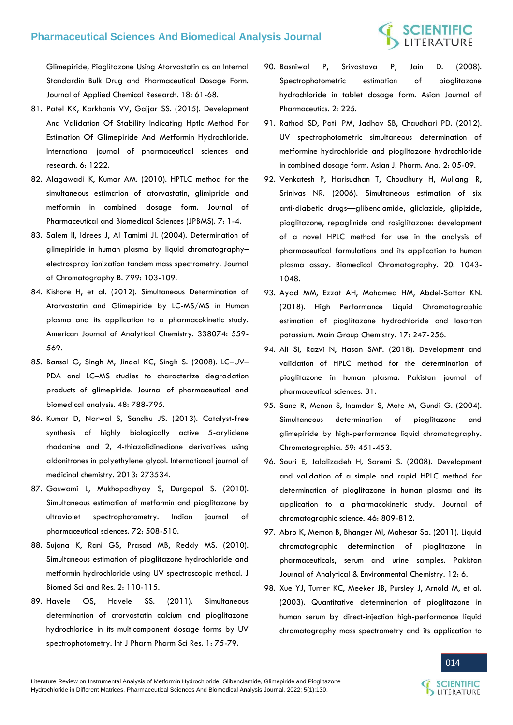[Glimepiride, Pioglitazone Using Atorvastatin as an Internal](https://www.researchgate.net/publication/278632728_Determination_and_Validation_of_Metformin_Glimepiride_Pioglitazone_Using_Atorvastatin_as_an_Internal_Standardin_Bulk_Drug_and_Pharmaceutical_Dosage_Form)  [Standardin Bulk Drug and Pharmaceutical Dosage Form.](https://www.researchgate.net/publication/278632728_Determination_and_Validation_of_Metformin_Glimepiride_Pioglitazone_Using_Atorvastatin_as_an_Internal_Standardin_Bulk_Drug_and_Pharmaceutical_Dosage_Form)  [Journal of Applied Chemical Research. 18: 61-68.](https://www.researchgate.net/publication/278632728_Determination_and_Validation_of_Metformin_Glimepiride_Pioglitazone_Using_Atorvastatin_as_an_Internal_Standardin_Bulk_Drug_and_Pharmaceutical_Dosage_Form)

- 81. [Patel KK, Karkhanis VV, Gajjar SS. \(2015\). Development](https://ijpsr.com/bft-article/development-and-validation-of-stability-indicating-hptlc-method-for-estimation-of-glimepiride-and-metformin-hydrochloride/)  [And Validation Of Stability Indicating Hptlc Method For](https://ijpsr.com/bft-article/development-and-validation-of-stability-indicating-hptlc-method-for-estimation-of-glimepiride-and-metformin-hydrochloride/)  [Estimation Of Glimepiride And Metformin Hydrochloride.](https://ijpsr.com/bft-article/development-and-validation-of-stability-indicating-hptlc-method-for-estimation-of-glimepiride-and-metformin-hydrochloride/)  [International journal of pharmaceutical sciences and](https://ijpsr.com/bft-article/development-and-validation-of-stability-indicating-hptlc-method-for-estimation-of-glimepiride-and-metformin-hydrochloride/)  [research. 6: 1222.](https://ijpsr.com/bft-article/development-and-validation-of-stability-indicating-hptlc-method-for-estimation-of-glimepiride-and-metformin-hydrochloride/)
- 82. [Alagawadi K, Kumar AM. \(2010\). HPTLC method for the](https://www.jpbms.info/index.php?option=com_docman&task=doc_details&gid=172&Itemid=48)  [simultaneous estimation of atorvastatin, glimipride and](https://www.jpbms.info/index.php?option=com_docman&task=doc_details&gid=172&Itemid=48)  [metformin in combined dosage form. Journal of](https://www.jpbms.info/index.php?option=com_docman&task=doc_details&gid=172&Itemid=48)  [Pharmaceutical and Biomedical Sciences \(JPBMS\). 7: 1-4.](https://www.jpbms.info/index.php?option=com_docman&task=doc_details&gid=172&Itemid=48)
- 83. [Salem II, Idrees J, Al Tamimi JI. \(2004\). Determination of](https://pubmed.ncbi.nlm.nih.gov/14659441/)  [glimepiride in human plasma by liquid chromatography](https://pubmed.ncbi.nlm.nih.gov/14659441/)– [electrospray ionization tandem mass spectrometry. Journal](https://pubmed.ncbi.nlm.nih.gov/14659441/)  [of Chromatography B. 799: 103-109.](https://pubmed.ncbi.nlm.nih.gov/14659441/)
- 84. [Kishore H, et al. \(2012\). Simultaneous Determination of](https://www.researchgate.net/publication/255964476_Simultaneous_Determination_of_Atorvastatin_and_Glimepiride_by_LC-MSMS_in_Human_Plasma_and_Its_Application_to_a_Pharmacokinetic_Study)  [Atorvastatin and Glimepiride by LC-MS/MS in Human](https://www.researchgate.net/publication/255964476_Simultaneous_Determination_of_Atorvastatin_and_Glimepiride_by_LC-MSMS_in_Human_Plasma_and_Its_Application_to_a_Pharmacokinetic_Study)  [plasma and its application to a pharmacokinetic study.](https://www.researchgate.net/publication/255964476_Simultaneous_Determination_of_Atorvastatin_and_Glimepiride_by_LC-MSMS_in_Human_Plasma_and_Its_Application_to_a_Pharmacokinetic_Study)  [American Journal of Analytical Chemistry. 338074: 559-](https://www.researchgate.net/publication/255964476_Simultaneous_Determination_of_Atorvastatin_and_Glimepiride_by_LC-MSMS_in_Human_Plasma_and_Its_Application_to_a_Pharmacokinetic_Study) [569.](https://www.researchgate.net/publication/255964476_Simultaneous_Determination_of_Atorvastatin_and_Glimepiride_by_LC-MSMS_in_Human_Plasma_and_Its_Application_to_a_Pharmacokinetic_Study)
- 85. [Bansal G, Singh M, Jindal KC, Singh S. \(2008\). LC](https://pubmed.ncbi.nlm.nih.gov/18804934/)–UV– PDA and LC–[MS studies to characterize degradation](https://pubmed.ncbi.nlm.nih.gov/18804934/)  [products of glimepiride. Journal of pharmaceutical and](https://pubmed.ncbi.nlm.nih.gov/18804934/)  [biomedical analysis. 48: 788-795.](https://pubmed.ncbi.nlm.nih.gov/18804934/)
- 86. [Kumar D, Narwal S, Sandhu JS. \(2013\). Catalyst-free](https://pubmed.ncbi.nlm.nih.gov/25374689/)  [synthesis of highly biologically active 5-arylidene](https://pubmed.ncbi.nlm.nih.gov/25374689/)  [rhodanine and 2, 4-thiazolidinedione derivatives using](https://pubmed.ncbi.nlm.nih.gov/25374689/)  [aldonitrones in polyethylene glycol. International journal of](https://pubmed.ncbi.nlm.nih.gov/25374689/)  [medicinal chemistry. 2013: 273534.](https://pubmed.ncbi.nlm.nih.gov/25374689/)
- 87. [Goswami L, Mukhopadhyay S, Durgapal S. \(2010\).](https://www.ncbi.nlm.nih.gov/pmc/articles/PMC3013569/)  [Simultaneous estimation of metformin and pioglitazone by](https://www.ncbi.nlm.nih.gov/pmc/articles/PMC3013569/)  [ultraviolet spectrophotometry. Indian journal of](https://www.ncbi.nlm.nih.gov/pmc/articles/PMC3013569/)  [pharmaceutical sciences. 72: 508-510.](https://www.ncbi.nlm.nih.gov/pmc/articles/PMC3013569/)
- 88. [Sujana K, Rani GS, Prasad MB, Reddy MS. \(2010\).](http://jbsr.pharmainfo.in/documents/vol2issue2/2010020206.pdf)  [Simultaneous estimation of pioglitazone hydrochloride and](http://jbsr.pharmainfo.in/documents/vol2issue2/2010020206.pdf)  [metformin hydrochloride using UV spectroscopic method. J](http://jbsr.pharmainfo.in/documents/vol2issue2/2010020206.pdf)  [Biomed Sci and Res. 2: 110-115.](http://jbsr.pharmainfo.in/documents/vol2issue2/2010020206.pdf)
- 89. Havele OS, Havele SS. (2011). Simultaneous determination of atorvastatin calcium and pioglitazone hydrochloride in its multicomponent dosage forms by UV spectrophotometry. Int J Pharm Pharm Sci Res. 1: 75-79.
- 90. [Basniwal P, Srivastava P, Jain D. \(2008\).](https://www.researchgate.net/publication/26576958_Spectrophotometric_estimation_of_pioglitazone_hydrochloride_in_tablet_dosage_form)  [Spectrophotometric estimation of pioglitazone](https://www.researchgate.net/publication/26576958_Spectrophotometric_estimation_of_pioglitazone_hydrochloride_in_tablet_dosage_form)  [hydrochloride in tablet dosage form. Asian Journal of](https://www.researchgate.net/publication/26576958_Spectrophotometric_estimation_of_pioglitazone_hydrochloride_in_tablet_dosage_form)  [Pharmaceutics. 2: 225.](https://www.researchgate.net/publication/26576958_Spectrophotometric_estimation_of_pioglitazone_hydrochloride_in_tablet_dosage_form)
- 91. [Rathod SD, Patil PM, Jadhav SB, Chaudhari PD. \(2012\).](https://ajpaonline.com/AbstractView.aspx?PID=2012-2-1-2)  [UV spectrophotometric simultaneous determination of](https://ajpaonline.com/AbstractView.aspx?PID=2012-2-1-2)  [metformine hydrochloride and pioglitazone hydrochloride](https://ajpaonline.com/AbstractView.aspx?PID=2012-2-1-2)  [in combined dosage form. Asian J. Pharm. Ana. 2: 05-09.](https://ajpaonline.com/AbstractView.aspx?PID=2012-2-1-2)
- 92. [Venkatesh P, Harisudhan T, Choudhury H, Mullangi R,](https://pubmed.ncbi.nlm.nih.gov/16506282/)  [Srinivas NR. \(2006\). Simultaneous estimation of six](https://pubmed.ncbi.nlm.nih.gov/16506282/)  anti‐diabetic drugs—[glibenclamide, gliclazide, glipizide,](https://pubmed.ncbi.nlm.nih.gov/16506282/)  [pioglitazone, repaglinide and rosiglitazone: development](https://pubmed.ncbi.nlm.nih.gov/16506282/)  [of a novel HPLC method for use in the analysis of](https://pubmed.ncbi.nlm.nih.gov/16506282/)  [pharmaceutical formulations and its application to human](https://pubmed.ncbi.nlm.nih.gov/16506282/)  [plasma assay. Biomedical Chromatography. 20: 1043-](https://pubmed.ncbi.nlm.nih.gov/16506282/) [1048.](https://pubmed.ncbi.nlm.nih.gov/16506282/)
- 93. [Ayad MM, Ezzat AH, Mohamed HM, Abdel-Sattar KN.](https://content.iospress.com/articles/main-group-chemistry/mgc180267)  [\(2018\). High Performance Liquid Chromatographic](https://content.iospress.com/articles/main-group-chemistry/mgc180267)  [estimation of pioglitazone hydrochloride and losartan](https://content.iospress.com/articles/main-group-chemistry/mgc180267)  [potassium. Main Group Chemistry. 17: 247-256.](https://content.iospress.com/articles/main-group-chemistry/mgc180267)
- 94. [Ali SI, Razvi N, Hasan SMF. \(2018\). Development and](https://pubmed.ncbi.nlm.nih.gov/30058540/)  [validation of HPLC method for the determination of](https://pubmed.ncbi.nlm.nih.gov/30058540/)  [pioglitazone in human plasma. Pakistan journal of](https://pubmed.ncbi.nlm.nih.gov/30058540/)  [pharmaceutical sciences. 31.](https://pubmed.ncbi.nlm.nih.gov/30058540/)
- 95. [Sane R, Menon S, Inamdar S, Mote M, Gundi G. \(2004\).](https://www.researchgate.net/publication/227309158_Simultaneous_Determination_of_Pioglitazone_and_Glimepiride_by_High-Performance_Liquid_Chromatography)  [Simultaneous determination of pioglitazone and](https://www.researchgate.net/publication/227309158_Simultaneous_Determination_of_Pioglitazone_and_Glimepiride_by_High-Performance_Liquid_Chromatography)  [glimepiride by high-performance liquid chromatography.](https://www.researchgate.net/publication/227309158_Simultaneous_Determination_of_Pioglitazone_and_Glimepiride_by_High-Performance_Liquid_Chromatography)  [Chromatographia. 59: 451-453.](https://www.researchgate.net/publication/227309158_Simultaneous_Determination_of_Pioglitazone_and_Glimepiride_by_High-Performance_Liquid_Chromatography)
- 96. [Souri E, Jalalizadeh H, Saremi S. \(2008\). Development](https://academic.oup.com/chromsci/article/46/9/809/525442)  [and validation of a simple and rapid HPLC method for](https://academic.oup.com/chromsci/article/46/9/809/525442)  [determination of pioglitazone in human plasma and its](https://academic.oup.com/chromsci/article/46/9/809/525442)  [application to a pharmacokinetic study. Journal of](https://academic.oup.com/chromsci/article/46/9/809/525442)  [chromatographic science. 46: 809-812.](https://academic.oup.com/chromsci/article/46/9/809/525442)
- 97. [Abro K, Memon B, Bhanger MI, Mahesar Sa. \(2011\). Liquid](http://pjaec.pk/index.php/pjaec/article/view/157)  [chromatographic determination of pioglitazone in](http://pjaec.pk/index.php/pjaec/article/view/157)  [pharmaceuticals, serum and urine samples. Pakistan](http://pjaec.pk/index.php/pjaec/article/view/157)  [Journal of Analytical & Environmental Chemistry. 12: 6.](http://pjaec.pk/index.php/pjaec/article/view/157)
- 98. [Xue YJ, Turner KC, Meeker JB, Pursley J, Arnold M, et al.](https://pubmed.ncbi.nlm.nih.gov/14522026/)  [\(2003\). Quantitative determination of pioglitazone in](https://pubmed.ncbi.nlm.nih.gov/14522026/)  [human serum by direct-injection high-performance liquid](https://pubmed.ncbi.nlm.nih.gov/14522026/)  [chromatography mass spectrometry and its application to](https://pubmed.ncbi.nlm.nih.gov/14522026/)

Literature Review on Instrumental Analysis of Metformin Hydrochloride, Glibenclamide, Glimepiride and Pioglitazone Hydrochloride in Different Matrices. Pharmaceutical Sciences And Biomedical Analysis Journal. 2022; 5(1):130.